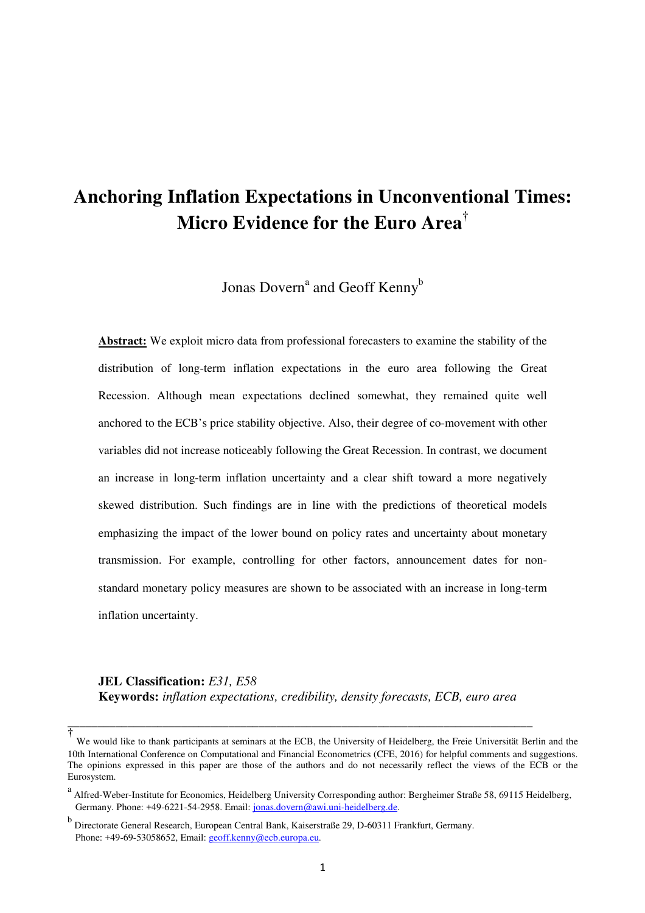# **Anchoring Inflation Expectations in Unconventional Times: Micro Evidence for the Euro Area†**

Jonas Dovern<sup>a</sup> and Geoff Kenny<sup>b</sup>

**Abstract:** We exploit micro data from professional forecasters to examine the stability of the distribution of long-term inflation expectations in the euro area following the Great Recession. Although mean expectations declined somewhat, they remained quite well anchored to the ECB's price stability objective. Also, their degree of co-movement with other variables did not increase noticeably following the Great Recession. In contrast, we document an increase in long-term inflation uncertainty and a clear shift toward a more negatively skewed distribution. Such findings are in line with the predictions of theoretical models emphasizing the impact of the lower bound on policy rates and uncertainty about monetary transmission. For example, controlling for other factors, announcement dates for nonstandard monetary policy measures are shown to be associated with an increase in long-term inflation uncertainty.

**JEL Classification:** *E31, E58*  **Keywords:** *inflation expectations, credibility, density forecasts, ECB, euro area*

\_\_\_\_\_\_\_\_\_\_\_\_\_\_\_\_\_\_\_\_\_\_\_\_\_\_\_\_\_\_\_\_\_\_\_\_\_\_\_\_\_\_\_\_\_\_\_\_\_\_\_\_\_\_\_\_\_\_\_\_\_\_\_\_\_\_\_\_\_\_\_\_\_\_\_\_\_\_

**<sup>†</sup>** We would like to thank participants at seminars at the ECB, the University of Heidelberg, the Freie Universität Berlin and the 10th International Conference on Computational and Financial Econometrics (CFE, 2016) for helpful comments and suggestions. The opinions expressed in this paper are those of the authors and do not necessarily reflect the views of the ECB or the Eurosystem.

<sup>&</sup>lt;sup>a</sup> Alfred-Weber-Institute for Economics, Heidelberg University Corresponding author: Bergheimer Straße 58, 69115 Heidelberg, Germany. Phone: +49-6221-54-2958. Email: jonas.dovern@awi.uni-heidelberg.de.

<sup>&</sup>lt;sup>b</sup> Directorate General Research, European Central Bank, Kaiserstraße 29, D-60311 Frankfurt, Germany. Phone: +49-69-53058652, Email: geoff.kenny@ecb.europa.eu.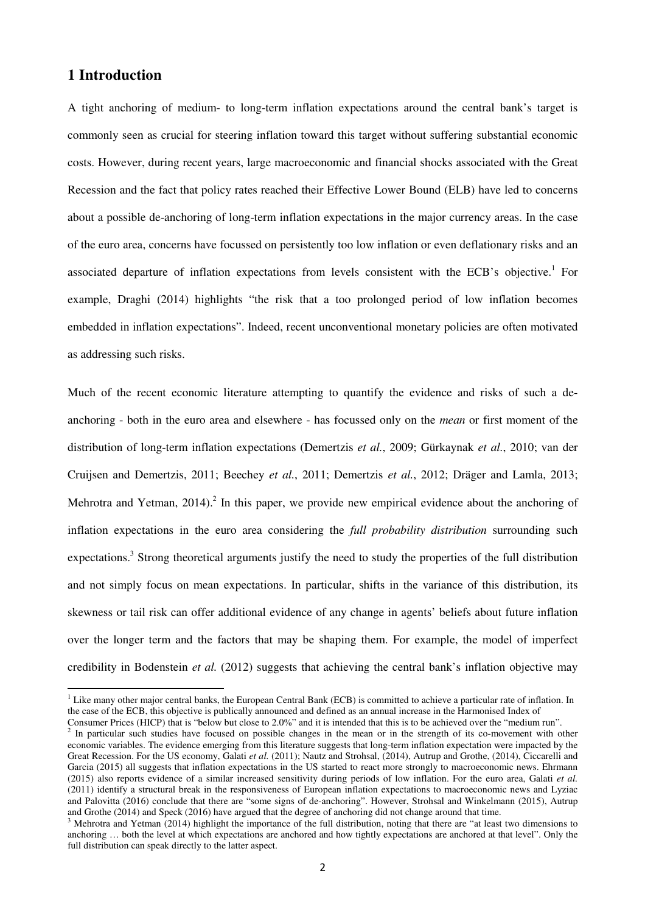#### **1 Introduction**

l

A tight anchoring of medium- to long-term inflation expectations around the central bank's target is commonly seen as crucial for steering inflation toward this target without suffering substantial economic costs. However, during recent years, large macroeconomic and financial shocks associated with the Great Recession and the fact that policy rates reached their Effective Lower Bound (ELB) have led to concerns about a possible de-anchoring of long-term inflation expectations in the major currency areas. In the case of the euro area, concerns have focussed on persistently too low inflation or even deflationary risks and an associated departure of inflation expectations from levels consistent with the ECB's objective.<sup>1</sup> For example, Draghi (2014) highlights "the risk that a too prolonged period of low inflation becomes embedded in inflation expectations". Indeed, recent unconventional monetary policies are often motivated as addressing such risks.

Much of the recent economic literature attempting to quantify the evidence and risks of such a deanchoring - both in the euro area and elsewhere - has focussed only on the *mean* or first moment of the distribution of long-term inflation expectations (Demertzis *et al.*, 2009; Gürkaynak *et al.*, 2010; van der Cruijsen and Demertzis, 2011; Beechey *et al.*, 2011; Demertzis *et al.*, 2012; Dräger and Lamla, 2013; Mehrotra and Yetman, 2014).<sup>2</sup> In this paper, we provide new empirical evidence about the anchoring of inflation expectations in the euro area considering the *full probability distribution* surrounding such expectations.<sup>3</sup> Strong theoretical arguments justify the need to study the properties of the full distribution and not simply focus on mean expectations. In particular, shifts in the variance of this distribution, its skewness or tail risk can offer additional evidence of any change in agents' beliefs about future inflation over the longer term and the factors that may be shaping them. For example, the model of imperfect credibility in Bodenstein *et al.* (2012) suggests that achieving the central bank's inflation objective may

<sup>&</sup>lt;sup>1</sup> Like many other major central banks, the European Central Bank (ECB) is committed to achieve a particular rate of inflation. In the case of the ECB, this objective is publically announced and defined as an annual increase in the Harmonised Index of

Consumer Prices (HICP) that is "below but close to 2.0%" and it is intended that this is to be achieved over the "medium run".

 $2$  In particular such studies have focused on possible changes in the mean or in the strength of its co-movement with other economic variables. The evidence emerging from this literature suggests that long-term inflation expectation were impacted by the Great Recession. For the US economy, Galati *et al.* (2011); Nautz and Strohsal, (2014), Autrup and Grothe, (2014), Ciccarelli and Garcia (2015) all suggests that inflation expectations in the US started to react more strongly to macroeconomic news. Ehrmann (2015) also reports evidence of a similar increased sensitivity during periods of low inflation. For the euro area, Galati *et al.* (2011) identify a structural break in the responsiveness of European inflation expectations to macroeconomic news and Lyziac and Palovitta (2016) conclude that there are "some signs of de-anchoring". However, Strohsal and Winkelmann (2015), Autrup and Grothe (2014) and Speck (2016) have argued that the degree of anchoring did not change around that time.

 $3$  Mehrotra and Yetman (2014) highlight the importance of the full distribution, noting that there are "at least two dimensions to anchoring … both the level at which expectations are anchored and how tightly expectations are anchored at that level". Only the full distribution can speak directly to the latter aspect.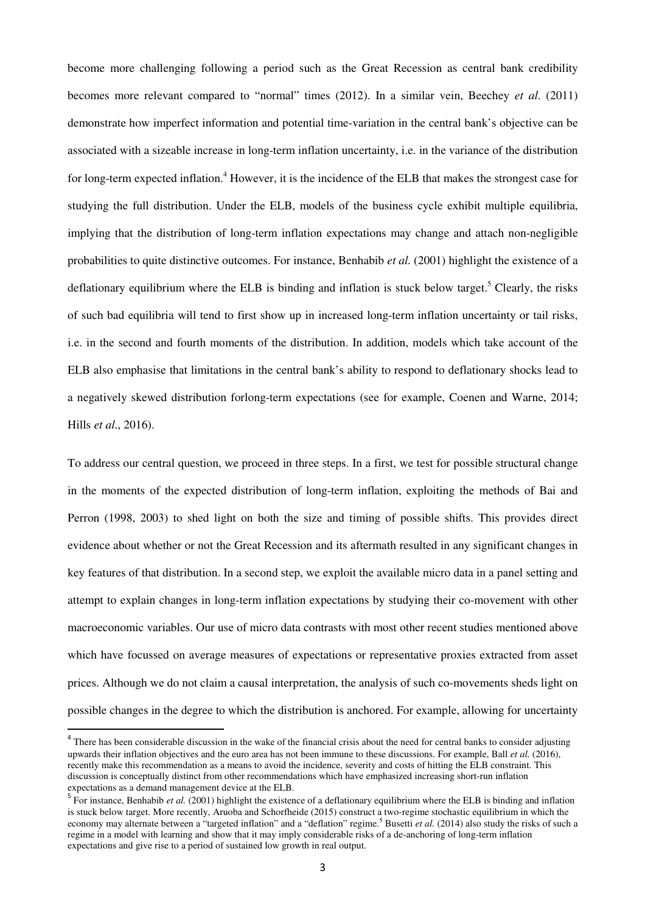become more challenging following a period such as the Great Recession as central bank credibility becomes more relevant compared to "normal" times (2012). In a similar vein, Beechey *et al*. (2011) demonstrate how imperfect information and potential time-variation in the central bank's objective can be associated with a sizeable increase in long-term inflation uncertainty, i.e. in the variance of the distribution for long-term expected inflation.<sup>4</sup> However, it is the incidence of the ELB that makes the strongest case for studying the full distribution. Under the ELB, models of the business cycle exhibit multiple equilibria, implying that the distribution of long-term inflation expectations may change and attach non-negligible probabilities to quite distinctive outcomes. For instance, Benhabib *et al.* (2001) highlight the existence of a deflationary equilibrium where the ELB is binding and inflation is stuck below target.<sup>5</sup> Clearly, the risks of such bad equilibria will tend to first show up in increased long-term inflation uncertainty or tail risks, i.e. in the second and fourth moments of the distribution. In addition, models which take account of the ELB also emphasise that limitations in the central bank's ability to respond to deflationary shocks lead to a negatively skewed distribution forlong-term expectations (see for example, Coenen and Warne, 2014; Hills *et al.*, 2016).

To address our central question, we proceed in three steps. In a first, we test for possible structural change in the moments of the expected distribution of long-term inflation, exploiting the methods of Bai and Perron (1998, 2003) to shed light on both the size and timing of possible shifts. This provides direct evidence about whether or not the Great Recession and its aftermath resulted in any significant changes in key features of that distribution. In a second step, we exploit the available micro data in a panel setting and attempt to explain changes in long-term inflation expectations by studying their co-movement with other macroeconomic variables. Our use of micro data contrasts with most other recent studies mentioned above which have focussed on average measures of expectations or representative proxies extracted from asset prices. Although we do not claim a causal interpretation, the analysis of such co-movements sheds light on possible changes in the degree to which the distribution is anchored. For example, allowing for uncertainty

 $\overline{a}$ 

<sup>&</sup>lt;sup>4</sup> There has been considerable discussion in the wake of the financial crisis about the need for central banks to consider adjusting upwards their inflation objectives and the euro area has not been immune to these discussions. For example, Ball *et al.* (2016), recently make this recommendation as a means to avoid the incidence, severity and costs of hitting the ELB constraint. This discussion is conceptually distinct from other recommendations which have emphasized increasing short-run inflation expectations as a demand management device at the ELB.

<sup>&</sup>lt;sup>5</sup> For instance, Benhabib *et al.* (2001) highlight the existence of a deflationary equilibrium where the ELB is binding and inflation is stuck below target. More recently, Aruoba and Schorfheide (2015) construct a two-regime stochastic equilibrium in which the economy may alternate between a "targeted inflation" and a "deflation" regime.<sup>5</sup> Busetti *et al.* (2014) also study the risks of such a regime in a model with learning and show that it may imply considerable risks of a de-anchoring of long-term inflation expectations and give rise to a period of sustained low growth in real output.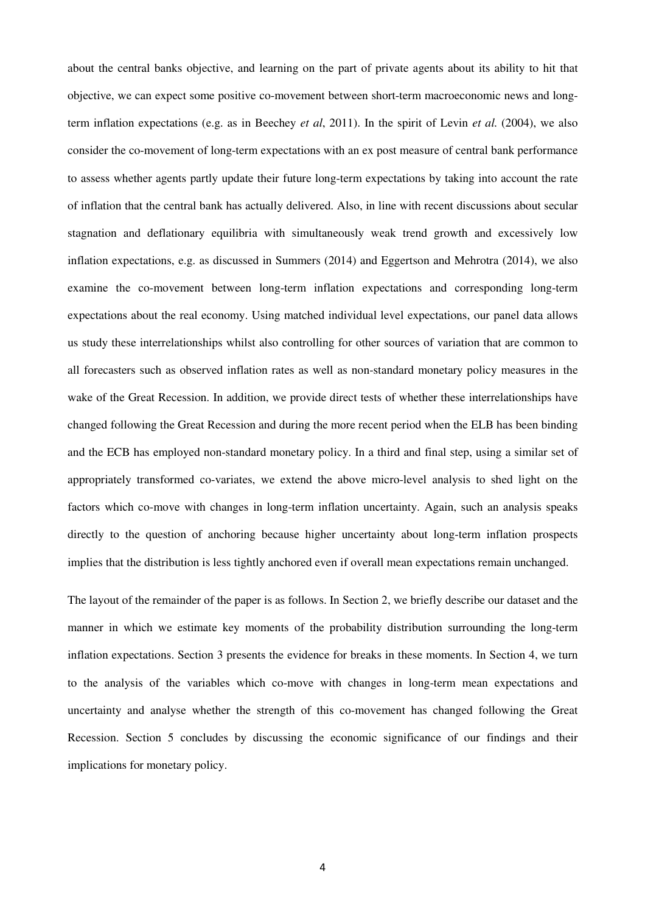about the central banks objective, and learning on the part of private agents about its ability to hit that objective, we can expect some positive co-movement between short-term macroeconomic news and longterm inflation expectations (e.g. as in Beechey *et al*, 2011). In the spirit of Levin *et al.* (2004), we also consider the co-movement of long-term expectations with an ex post measure of central bank performance to assess whether agents partly update their future long-term expectations by taking into account the rate of inflation that the central bank has actually delivered. Also, in line with recent discussions about secular stagnation and deflationary equilibria with simultaneously weak trend growth and excessively low inflation expectations, e.g. as discussed in Summers (2014) and Eggertson and Mehrotra (2014), we also examine the co-movement between long-term inflation expectations and corresponding long-term expectations about the real economy. Using matched individual level expectations, our panel data allows us study these interrelationships whilst also controlling for other sources of variation that are common to all forecasters such as observed inflation rates as well as non-standard monetary policy measures in the wake of the Great Recession. In addition, we provide direct tests of whether these interrelationships have changed following the Great Recession and during the more recent period when the ELB has been binding and the ECB has employed non-standard monetary policy. In a third and final step, using a similar set of appropriately transformed co-variates, we extend the above micro-level analysis to shed light on the factors which co-move with changes in long-term inflation uncertainty. Again, such an analysis speaks directly to the question of anchoring because higher uncertainty about long-term inflation prospects implies that the distribution is less tightly anchored even if overall mean expectations remain unchanged.

The layout of the remainder of the paper is as follows. In Section 2, we briefly describe our dataset and the manner in which we estimate key moments of the probability distribution surrounding the long-term inflation expectations. Section 3 presents the evidence for breaks in these moments. In Section 4, we turn to the analysis of the variables which co-move with changes in long-term mean expectations and uncertainty and analyse whether the strength of this co-movement has changed following the Great Recession. Section 5 concludes by discussing the economic significance of our findings and their implications for monetary policy.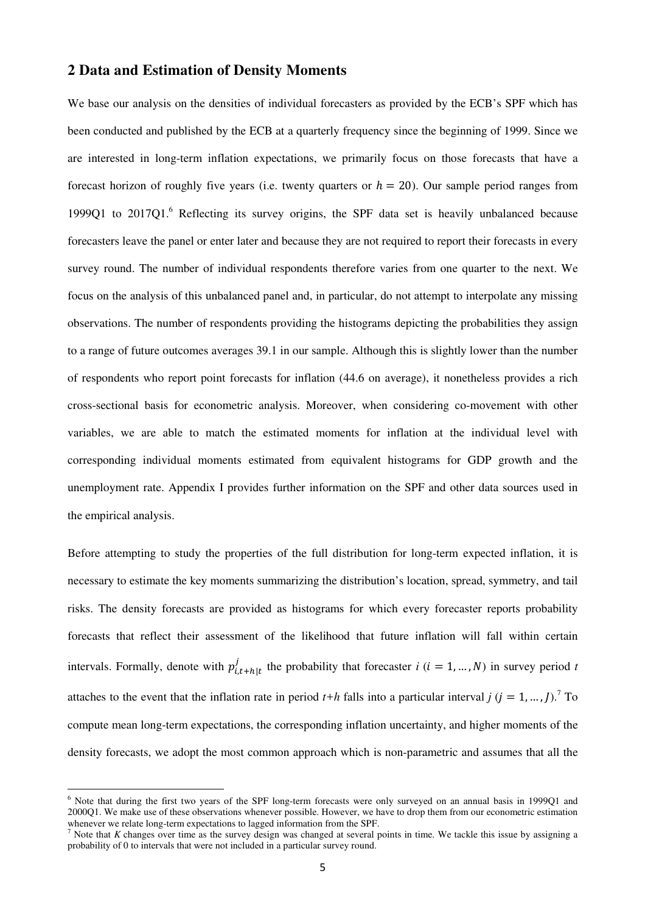#### **2 Data and Estimation of Density Moments**

We base our analysis on the densities of individual forecasters as provided by the ECB's SPF which has been conducted and published by the ECB at a quarterly frequency since the beginning of 1999. Since we are interested in long-term inflation expectations, we primarily focus on those forecasts that have a forecast horizon of roughly five years (i.e. twenty quarters or  $h = 20$ ). Our sample period ranges from 1999Q1 to 2017Q1.<sup>6</sup> Reflecting its survey origins, the SPF data set is heavily unbalanced because forecasters leave the panel or enter later and because they are not required to report their forecasts in every survey round. The number of individual respondents therefore varies from one quarter to the next. We focus on the analysis of this unbalanced panel and, in particular, do not attempt to interpolate any missing observations. The number of respondents providing the histograms depicting the probabilities they assign to a range of future outcomes averages 39.1 in our sample. Although this is slightly lower than the number of respondents who report point forecasts for inflation (44.6 on average), it nonetheless provides a rich cross-sectional basis for econometric analysis. Moreover, when considering co-movement with other variables, we are able to match the estimated moments for inflation at the individual level with corresponding individual moments estimated from equivalent histograms for GDP growth and the unemployment rate. Appendix I provides further information on the SPF and other data sources used in the empirical analysis.

Before attempting to study the properties of the full distribution for long-term expected inflation, it is necessary to estimate the key moments summarizing the distribution's location, spread, symmetry, and tail risks. The density forecasts are provided as histograms for which every forecaster reports probability forecasts that reflect their assessment of the likelihood that future inflation will fall within certain intervals. Formally, denote with  $p_{i,t+h|t}^{J}$  $t_{i,t+h|t}$  the probability that forecaster *i* (*i* = 1, ..., *N*) in survey period *t* attaches to the event that the inflation rate in period  $t+h$  falls into a particular interval  $j$  ( $j = 1, ..., J$ ).<sup>7</sup> To compute mean long-term expectations, the corresponding inflation uncertainty, and higher moments of the density forecasts, we adopt the most common approach which is non-parametric and assumes that all the

 $\overline{a}$ 

<sup>&</sup>lt;sup>6</sup> Note that during the first two years of the SPF long-term forecasts were only surveyed on an annual basis in 1999Q1 and 2000Q1. We make use of these observations whenever possible. However, we have to drop them from our econometric estimation whenever we relate long-term expectations to lagged information from the SPF.<br> $\frac{7}{2}$  Note that K changes over time as the survey design was changed at several p

Note that *K* changes over time as the survey design was changed at several points in time. We tackle this issue by assigning a probability of 0 to intervals that were not included in a particular survey round.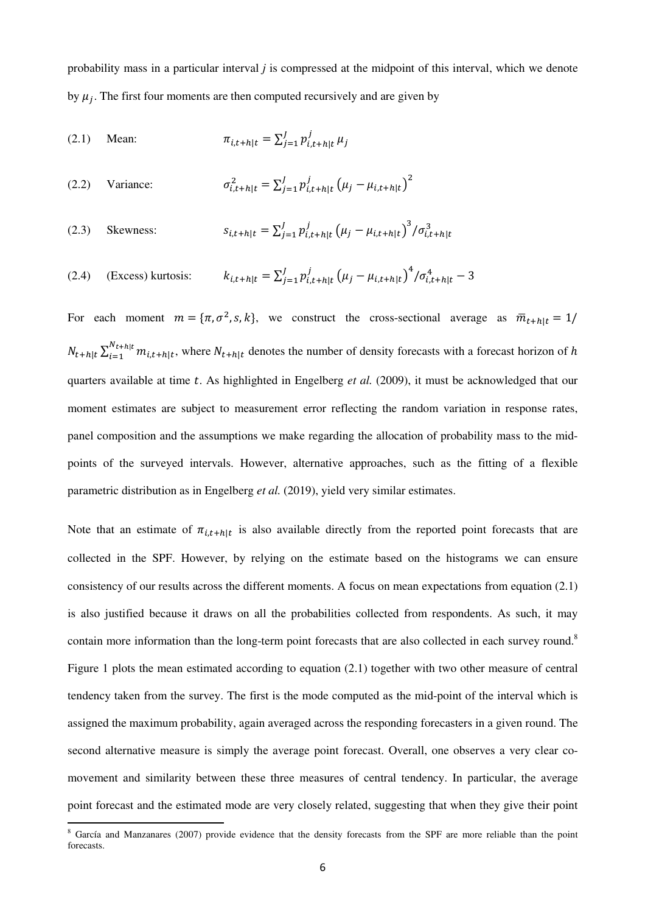probability mass in a particular interval *j* is compressed at the midpoint of this interval, which we denote by  $\mu_j$ . The first four moments are then computed recursively and are given by

(2.1) Mean: 
$$
\pi_{i,t+h|t} = \sum_{j=1}^{J} p_{i,t+h|t}^{j} \mu_{j}
$$

(2.2) Variance: 
$$
\sigma_{i,t+h|t}^2 = \sum_{j=1}^J p_{i,t+h|t}^j (\mu_j - \mu_{i,t+h|t})^2
$$

(2.3) Skewness: 
$$
s_{i,t+h|t} = \sum_{j=1}^{J} p_{i,t+h|t}^{j} \left( \mu_j - \mu_{i,t+h|t} \right)^3 / \sigma_{i,t+h|t}^3
$$

(2.4) (Excess) kurtosis: 
$$
k_{i,t+h|t} = \sum_{j=1}^{J} p_{i,t+h|t}^{j} (\mu_j - \mu_{i,t+h|t})^4 / \sigma_{i,t+h|t}^4 - 3
$$

For each moment  $m = {\pi, \sigma^2, s, k}$ , we construct the cross-sectional average as  $\overline{m}_{t+h|t} = 1/$  $N_{t+h|t} \sum_{i=1}^{N_t+h|t} m_{i,t+h|t}$  ${}_{i=1}^{N_{t+h|t}} m_{i,t+h|t}$ , where  $N_{t+h|t}$  denotes the number of density forecasts with a forecast horizon of h quarters available at time  $t$ . As highlighted in Engelberg  $et$   $al$ . (2009), it must be acknowledged that our moment estimates are subject to measurement error reflecting the random variation in response rates, panel composition and the assumptions we make regarding the allocation of probability mass to the midpoints of the surveyed intervals. However, alternative approaches, such as the fitting of a flexible parametric distribution as in Engelberg *et al.* (2019), yield very similar estimates.

Note that an estimate of  $\pi_{i,t+h|t}$  is also available directly from the reported point forecasts that are collected in the SPF. However, by relying on the estimate based on the histograms we can ensure consistency of our results across the different moments. A focus on mean expectations from equation (2.1) is also justified because it draws on all the probabilities collected from respondents. As such, it may contain more information than the long-term point forecasts that are also collected in each survey round.<sup>8</sup> Figure 1 plots the mean estimated according to equation (2.1) together with two other measure of central tendency taken from the survey. The first is the mode computed as the mid-point of the interval which is assigned the maximum probability, again averaged across the responding forecasters in a given round. The second alternative measure is simply the average point forecast. Overall, one observes a very clear comovement and similarity between these three measures of central tendency. In particular, the average point forecast and the estimated mode are very closely related, suggesting that when they give their point

l

<sup>&</sup>lt;sup>8</sup> García and Manzanares (2007) provide evidence that the density forecasts from the SPF are more reliable than the point forecasts.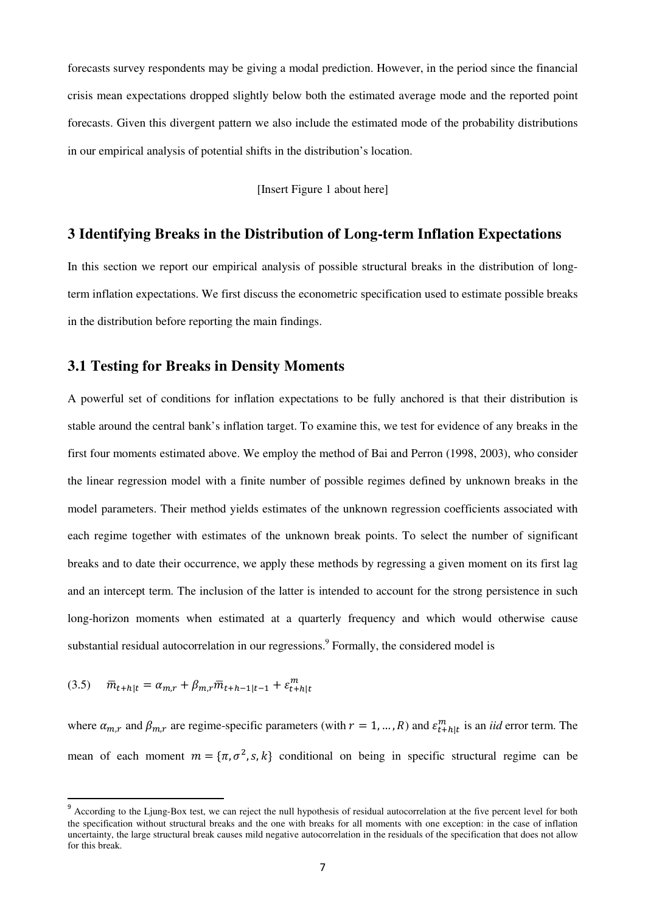forecasts survey respondents may be giving a modal prediction. However, in the period since the financial crisis mean expectations dropped slightly below both the estimated average mode and the reported point forecasts. Given this divergent pattern we also include the estimated mode of the probability distributions in our empirical analysis of potential shifts in the distribution's location.

[Insert Figure 1 about here]

#### **3 Identifying Breaks in the Distribution of Long-term Inflation Expectations**

In this section we report our empirical analysis of possible structural breaks in the distribution of longterm inflation expectations. We first discuss the econometric specification used to estimate possible breaks in the distribution before reporting the main findings.

#### **3.1 Testing for Breaks in Density Moments**

A powerful set of conditions for inflation expectations to be fully anchored is that their distribution is stable around the central bank's inflation target. To examine this, we test for evidence of any breaks in the first four moments estimated above. We employ the method of Bai and Perron (1998, 2003), who consider the linear regression model with a finite number of possible regimes defined by unknown breaks in the model parameters. Their method yields estimates of the unknown regression coefficients associated with each regime together with estimates of the unknown break points. To select the number of significant breaks and to date their occurrence, we apply these methods by regressing a given moment on its first lag and an intercept term. The inclusion of the latter is intended to account for the strong persistence in such long-horizon moments when estimated at a quarterly frequency and which would otherwise cause substantial residual autocorrelation in our regressions.<sup>9</sup> Formally, the considered model is

$$
(3.5) \quad \bar{m}_{t+h|t} = \alpha_{m,r} + \beta_{m,r} \bar{m}_{t+h-1|t-1} + \varepsilon_{t+h|t}^{m}
$$

l

where  $\alpha_{m,r}$  and  $\beta_{m,r}$  are regime-specific parameters (with  $r = 1, ..., R$ ) and  $\varepsilon_{t+h|t}^m$  is an *iid* error term. The mean of each moment  $m = {\pi, \sigma^2, s, k}$  conditional on being in specific structural regime can be

<sup>&</sup>lt;sup>9</sup> According to the Ljung-Box test, we can reject the null hypothesis of residual autocorrelation at the five percent level for both the specification without structural breaks and the one with breaks for all moments with one exception: in the case of inflation uncertainty, the large structural break causes mild negative autocorrelation in the residuals of the specification that does not allow for this break.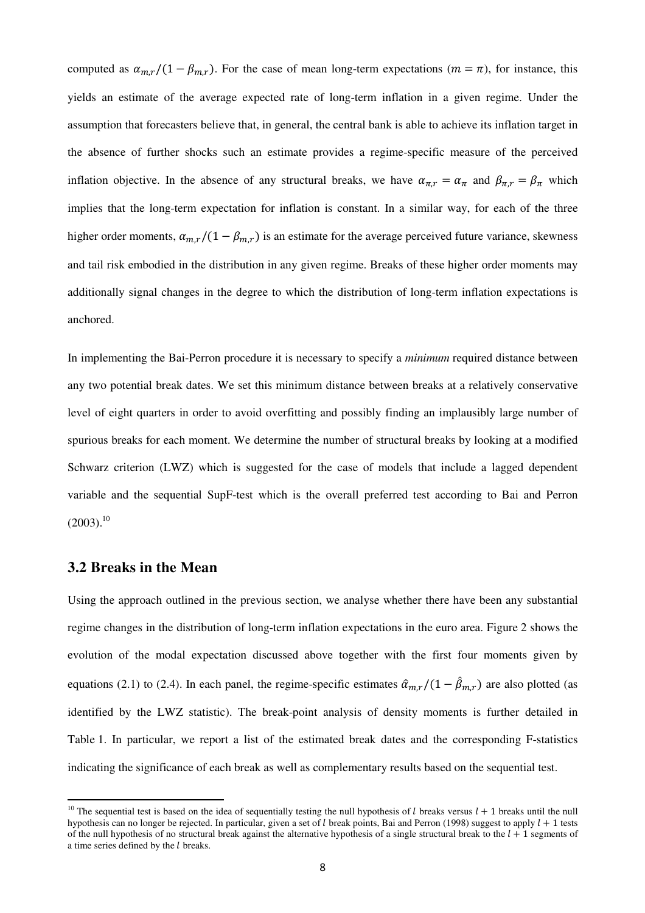computed as  $\alpha_{m,r}/(1 - \beta_{m,r})$ . For the case of mean long-term expectations ( $m = \pi$ ), for instance, this yields an estimate of the average expected rate of long-term inflation in a given regime. Under the assumption that forecasters believe that, in general, the central bank is able to achieve its inflation target in the absence of further shocks such an estimate provides a regime-specific measure of the perceived inflation objective. In the absence of any structural breaks, we have  $\alpha_{\pi,r} = \alpha_{\pi}$  and  $\beta_{\pi,r} = \beta_{\pi}$  which implies that the long-term expectation for inflation is constant. In a similar way, for each of the three higher order moments,  $\alpha_{m,r}/(1 - \beta_{m,r})$  is an estimate for the average perceived future variance, skewness and tail risk embodied in the distribution in any given regime. Breaks of these higher order moments may additionally signal changes in the degree to which the distribution of long-term inflation expectations is anchored.

In implementing the Bai-Perron procedure it is necessary to specify a *minimum* required distance between any two potential break dates. We set this minimum distance between breaks at a relatively conservative level of eight quarters in order to avoid overfitting and possibly finding an implausibly large number of spurious breaks for each moment. We determine the number of structural breaks by looking at a modified Schwarz criterion (LWZ) which is suggested for the case of models that include a lagged dependent variable and the sequential SupF-test which is the overall preferred test according to Bai and Perron  $(2003).^{10}$ 

## **3.2 Breaks in the Mean**

l

Using the approach outlined in the previous section, we analyse whether there have been any substantial regime changes in the distribution of long-term inflation expectations in the euro area. Figure 2 shows the evolution of the modal expectation discussed above together with the first four moments given by equations (2.1) to (2.4). In each panel, the regime-specific estimates  $\hat{a}_{m,r}/(1 - \hat{\beta}_{m,r})$  are also plotted (as identified by the LWZ statistic). The break-point analysis of density moments is further detailed in Table 1. In particular, we report a list of the estimated break dates and the corresponding F-statistics indicating the significance of each break as well as complementary results based on the sequential test.

<sup>&</sup>lt;sup>10</sup> The sequential test is based on the idea of sequentially testing the null hypothesis of *l* breaks versus  $l + 1$  breaks until the null hypothesis can no longer be rejected. In particular, given a set of l break points, Bai and Perron (1998) suggest to apply  $l + 1$  tests of the null hypothesis of no structural break against the alternative hypothesis of a single structural break to the  $l + 1$  segments of a time series defined by the  $l$  breaks.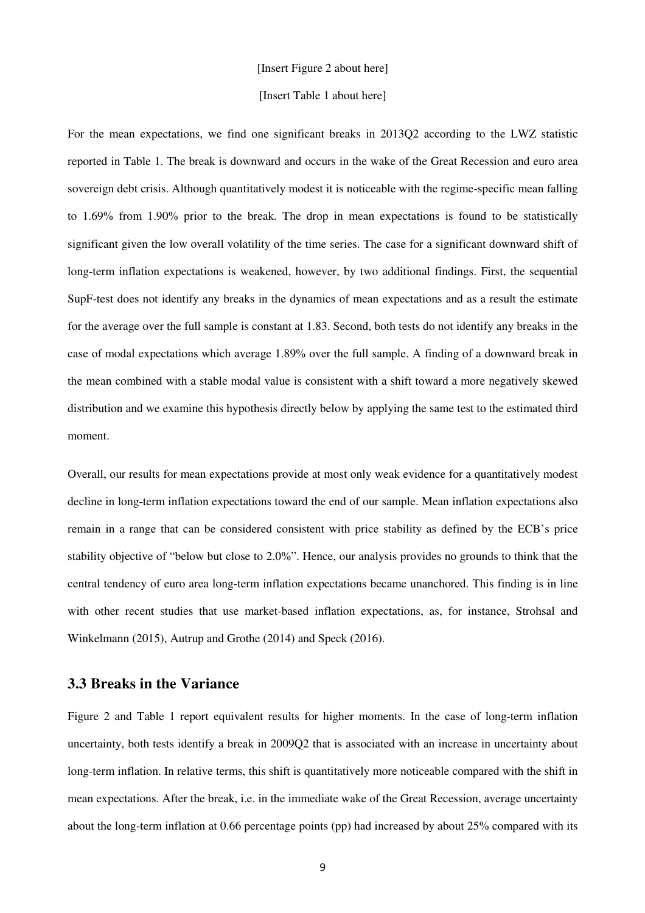#### [Insert Figure 2 about here]

#### [Insert Table 1 about here]

For the mean expectations, we find one significant breaks in 2013Q2 according to the LWZ statistic reported in Table 1. The break is downward and occurs in the wake of the Great Recession and euro area sovereign debt crisis. Although quantitatively modest it is noticeable with the regime-specific mean falling to 1.69% from 1.90% prior to the break. The drop in mean expectations is found to be statistically significant given the low overall volatility of the time series. The case for a significant downward shift of long-term inflation expectations is weakened, however, by two additional findings. First, the sequential SupF-test does not identify any breaks in the dynamics of mean expectations and as a result the estimate for the average over the full sample is constant at 1.83. Second, both tests do not identify any breaks in the case of modal expectations which average 1.89% over the full sample. A finding of a downward break in the mean combined with a stable modal value is consistent with a shift toward a more negatively skewed distribution and we examine this hypothesis directly below by applying the same test to the estimated third moment.

Overall, our results for mean expectations provide at most only weak evidence for a quantitatively modest decline in long-term inflation expectations toward the end of our sample. Mean inflation expectations also remain in a range that can be considered consistent with price stability as defined by the ECB's price stability objective of "below but close to 2.0%". Hence, our analysis provides no grounds to think that the central tendency of euro area long-term inflation expectations became unanchored. This finding is in line with other recent studies that use market-based inflation expectations, as, for instance, Strohsal and Winkelmann (2015), Autrup and Grothe (2014) and Speck (2016).

### **3.3 Breaks in the Variance**

Figure 2 and Table 1 report equivalent results for higher moments. In the case of long-term inflation uncertainty, both tests identify a break in 2009Q2 that is associated with an increase in uncertainty about long-term inflation. In relative terms, this shift is quantitatively more noticeable compared with the shift in mean expectations. After the break, i.e. in the immediate wake of the Great Recession, average uncertainty about the long-term inflation at 0.66 percentage points (pp) had increased by about 25% compared with its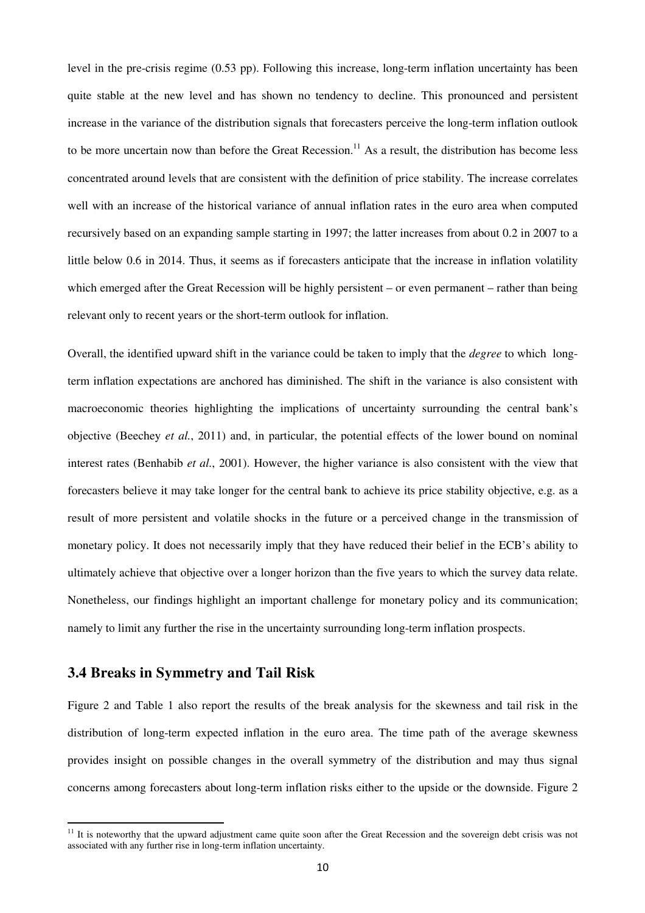level in the pre-crisis regime (0.53 pp). Following this increase, long-term inflation uncertainty has been quite stable at the new level and has shown no tendency to decline. This pronounced and persistent increase in the variance of the distribution signals that forecasters perceive the long-term inflation outlook to be more uncertain now than before the Great Recession.<sup>11</sup> As a result, the distribution has become less concentrated around levels that are consistent with the definition of price stability. The increase correlates well with an increase of the historical variance of annual inflation rates in the euro area when computed recursively based on an expanding sample starting in 1997; the latter increases from about 0.2 in 2007 to a little below 0.6 in 2014. Thus, it seems as if forecasters anticipate that the increase in inflation volatility which emerged after the Great Recession will be highly persistent – or even permanent – rather than being relevant only to recent years or the short-term outlook for inflation.

Overall, the identified upward shift in the variance could be taken to imply that the *degree* to which longterm inflation expectations are anchored has diminished. The shift in the variance is also consistent with macroeconomic theories highlighting the implications of uncertainty surrounding the central bank's objective (Beechey *et al.*, 2011) and, in particular, the potential effects of the lower bound on nominal interest rates (Benhabib *et al.*, 2001). However, the higher variance is also consistent with the view that forecasters believe it may take longer for the central bank to achieve its price stability objective, e.g. as a result of more persistent and volatile shocks in the future or a perceived change in the transmission of monetary policy. It does not necessarily imply that they have reduced their belief in the ECB's ability to ultimately achieve that objective over a longer horizon than the five years to which the survey data relate. Nonetheless, our findings highlight an important challenge for monetary policy and its communication; namely to limit any further the rise in the uncertainty surrounding long-term inflation prospects.

# **3.4 Breaks in Symmetry and Tail Risk**

l

Figure 2 and Table 1 also report the results of the break analysis for the skewness and tail risk in the distribution of long-term expected inflation in the euro area. The time path of the average skewness provides insight on possible changes in the overall symmetry of the distribution and may thus signal concerns among forecasters about long-term inflation risks either to the upside or the downside. Figure 2

<sup>&</sup>lt;sup>11</sup> It is noteworthy that the upward adjustment came quite soon after the Great Recession and the sovereign debt crisis was not associated with any further rise in long-term inflation uncertainty.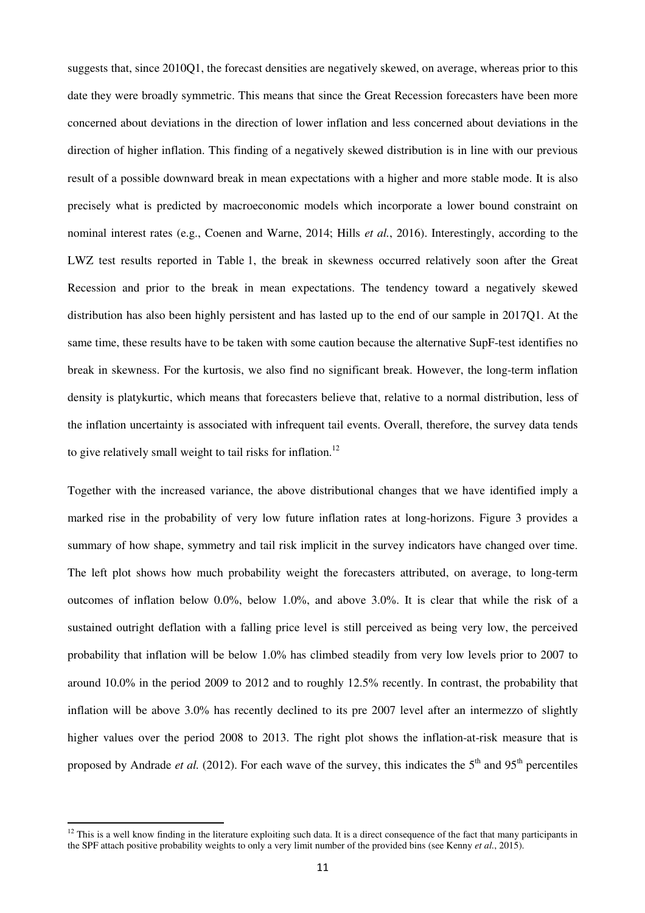suggests that, since 2010Q1, the forecast densities are negatively skewed, on average, whereas prior to this date they were broadly symmetric. This means that since the Great Recession forecasters have been more concerned about deviations in the direction of lower inflation and less concerned about deviations in the direction of higher inflation. This finding of a negatively skewed distribution is in line with our previous result of a possible downward break in mean expectations with a higher and more stable mode. It is also precisely what is predicted by macroeconomic models which incorporate a lower bound constraint on nominal interest rates (e.g., Coenen and Warne, 2014; Hills *et al.*, 2016). Interestingly, according to the LWZ test results reported in Table 1, the break in skewness occurred relatively soon after the Great Recession and prior to the break in mean expectations. The tendency toward a negatively skewed distribution has also been highly persistent and has lasted up to the end of our sample in 2017Q1. At the same time, these results have to be taken with some caution because the alternative SupF-test identifies no break in skewness. For the kurtosis, we also find no significant break. However, the long-term inflation density is platykurtic, which means that forecasters believe that, relative to a normal distribution, less of the inflation uncertainty is associated with infrequent tail events. Overall, therefore, the survey data tends to give relatively small weight to tail risks for inflation.<sup>12</sup>

Together with the increased variance, the above distributional changes that we have identified imply a marked rise in the probability of very low future inflation rates at long-horizons. Figure 3 provides a summary of how shape, symmetry and tail risk implicit in the survey indicators have changed over time. The left plot shows how much probability weight the forecasters attributed, on average, to long-term outcomes of inflation below 0.0%, below 1.0%, and above 3.0%. It is clear that while the risk of a sustained outright deflation with a falling price level is still perceived as being very low, the perceived probability that inflation will be below 1.0% has climbed steadily from very low levels prior to 2007 to around 10.0% in the period 2009 to 2012 and to roughly 12.5% recently. In contrast, the probability that inflation will be above 3.0% has recently declined to its pre 2007 level after an intermezzo of slightly higher values over the period 2008 to 2013. The right plot shows the inflation-at-risk measure that is proposed by Andrade *et al.* (2012). For each wave of the survey, this indicates the  $5<sup>th</sup>$  and  $95<sup>th</sup>$  percentiles

l

<sup>&</sup>lt;sup>12</sup> This is a well know finding in the literature exploiting such data. It is a direct consequence of the fact that many participants in the SPF attach positive probability weights to only a very limit number of the provided bins (see Kenny *et al.*, 2015).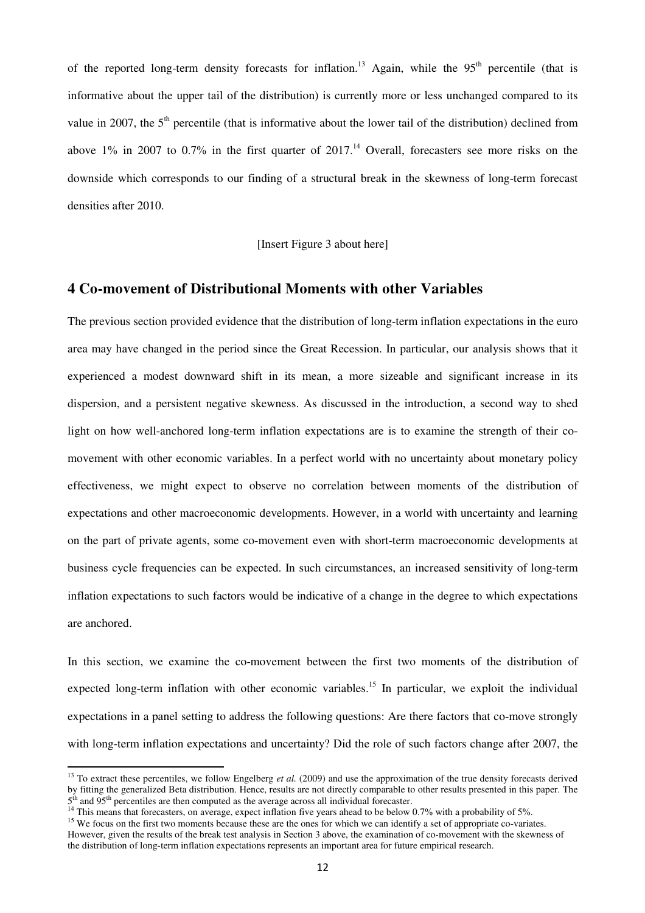of the reported long-term density forecasts for inflation.<sup>13</sup> Again, while the 95<sup>th</sup> percentile (that is informative about the upper tail of the distribution) is currently more or less unchanged compared to its value in 2007, the  $5<sup>th</sup>$  percentile (that is informative about the lower tail of the distribution) declined from above  $1\%$  in 2007 to 0.7% in the first quarter of 2017.<sup>14</sup> Overall, forecasters see more risks on the downside which corresponds to our finding of a structural break in the skewness of long-term forecast densities after 2010.

[Insert Figure 3 about here]

#### **4 Co-movement of Distributional Moments with other Variables**

The previous section provided evidence that the distribution of long-term inflation expectations in the euro area may have changed in the period since the Great Recession. In particular, our analysis shows that it experienced a modest downward shift in its mean, a more sizeable and significant increase in its dispersion, and a persistent negative skewness. As discussed in the introduction, a second way to shed light on how well-anchored long-term inflation expectations are is to examine the strength of their comovement with other economic variables. In a perfect world with no uncertainty about monetary policy effectiveness, we might expect to observe no correlation between moments of the distribution of expectations and other macroeconomic developments. However, in a world with uncertainty and learning on the part of private agents, some co-movement even with short-term macroeconomic developments at business cycle frequencies can be expected. In such circumstances, an increased sensitivity of long-term inflation expectations to such factors would be indicative of a change in the degree to which expectations are anchored.

In this section, we examine the co-movement between the first two moments of the distribution of expected long-term inflation with other economic variables.<sup>15</sup> In particular, we exploit the individual expectations in a panel setting to address the following questions: Are there factors that co-move strongly with long-term inflation expectations and uncertainty? Did the role of such factors change after 2007, the

 $\overline{a}$ 

<sup>&</sup>lt;sup>13</sup> To extract these percentiles, we follow Engelberg *et al.* (2009) and use the approximation of the true density forecasts derived by fitting the generalized Beta distribution. Hence, results are not directly comparable to other results presented in this paper. The 5<sup>th</sup> and 95<sup>th</sup> percentiles are then computed as the average across all individual forecaster.

<sup>&</sup>lt;sup>14</sup> This means that forecasters, on average, expect inflation five years ahead to be below 0.7% with a probability of 5%.

<sup>&</sup>lt;sup>15</sup> We focus on the first two moments because these are the ones for which we can identify a set of appropriate co-variates. However, given the results of the break test analysis in Section 3 above, the examination of co-movement with the skewness of the distribution of long-term inflation expectations represents an important area for future empirical research.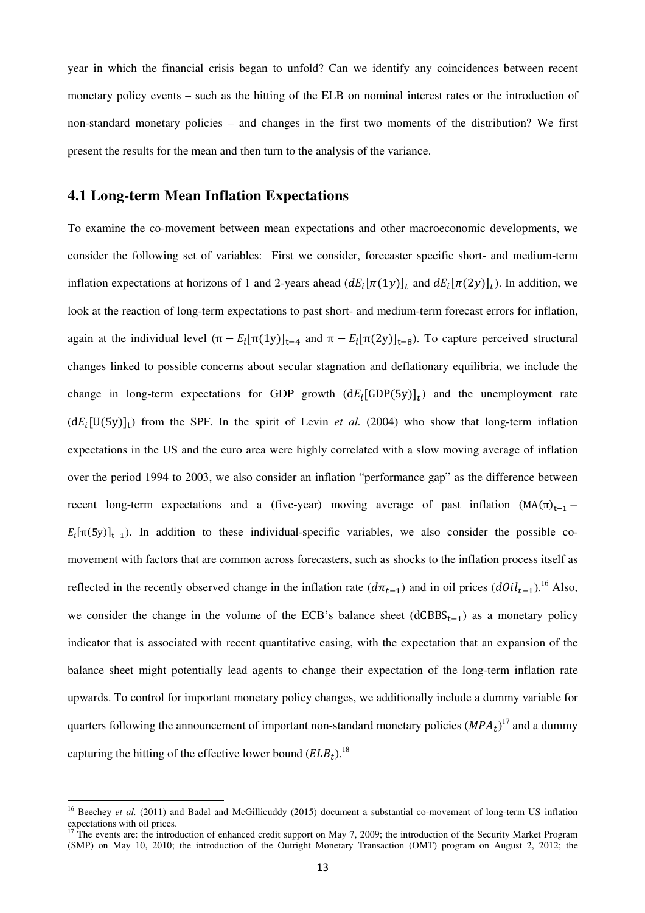year in which the financial crisis began to unfold? Can we identify any coincidences between recent monetary policy events – such as the hitting of the ELB on nominal interest rates or the introduction of non-standard monetary policies – and changes in the first two moments of the distribution? We first present the results for the mean and then turn to the analysis of the variance.

### **4.1 Long-term Mean Inflation Expectations**

To examine the co-movement between mean expectations and other macroeconomic developments, we consider the following set of variables: First we consider, forecaster specific short- and medium-term inflation expectations at horizons of 1 and 2-years ahead  $(dE_i[\pi(1y)]_t$  and  $dE_i[\pi(2y)]_t$ ). In addition, we look at the reaction of long-term expectations to past short- and medium-term forecast errors for inflation, again at the individual level  $(\pi - E_i[\pi(1y)]_{t-4}$  and  $\pi - E_i[\pi(2y)]_{t-8}$ ). To capture perceived structural changes linked to possible concerns about secular stagnation and deflationary equilibria, we include the change in long-term expectations for GDP growth  $(dE_i[\text{GDP}(5y)]_t)$  and the unemployment rate  $(dE<sub>i</sub>[U(5y)]<sub>t</sub>)$  from the SPF. In the spirit of Levin *et al.* (2004) who show that long-term inflation expectations in the US and the euro area were highly correlated with a slow moving average of inflation over the period 1994 to 2003, we also consider an inflation "performance gap" as the difference between recent long-term expectations and a (five-year) moving average of past inflation  $(MA(\pi)_{t-1} E_i[\pi(5y)]_{t-1}$ ). In addition to these individual-specific variables, we also consider the possible comovement with factors that are common across forecasters, such as shocks to the inflation process itself as reflected in the recently observed change in the inflation rate  $(d\pi_{t-1})$  and in oil prices  $(dOil_{t-1})$ .<sup>16</sup> Also, we consider the change in the volume of the ECB's balance sheet  $(dCBBS_{t-1})$  as a monetary policy indicator that is associated with recent quantitative easing, with the expectation that an expansion of the balance sheet might potentially lead agents to change their expectation of the long-term inflation rate upwards. To control for important monetary policy changes, we additionally include a dummy variable for quarters following the announcement of important non-standard monetary policies  $(MPA_t)^{17}$  and a dummy capturing the hitting of the effective lower bound  $(ELB<sub>t</sub>)$ .<sup>18</sup>

l

<sup>&</sup>lt;sup>16</sup> Beechey *et al.* (2011) and Badel and McGillicuddy (2015) document a substantial co-movement of long-term US inflation expectations with oil prices.

The events are: the introduction of enhanced credit support on May 7, 2009; the introduction of the Security Market Program (SMP) on May 10, 2010; the introduction of the Outright Monetary Transaction (OMT) program on August 2, 2012; the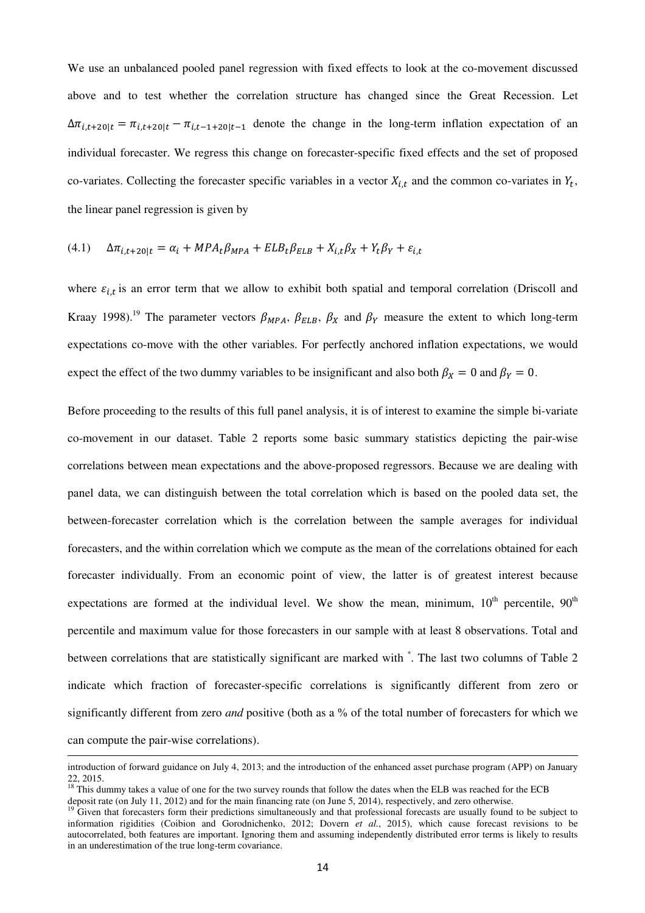We use an unbalanced pooled panel regression with fixed effects to look at the co-movement discussed above and to test whether the correlation structure has changed since the Great Recession. Let  $\Delta \pi_{i,t+20|t} = \pi_{i,t+20|t} - \pi_{i,t-1+20|t-1}$  denote the change in the long-term inflation expectation of an individual forecaster. We regress this change on forecaster-specific fixed effects and the set of proposed co-variates. Collecting the forecaster specific variables in a vector  $X_{i,t}$  and the common co-variates in  $Y_t$ , the linear panel regression is given by

$$
(4.1)\quad \Delta \pi_{i,t+20|t} = \alpha_i + MPA_t \beta_{MPA} + ELB_t \beta_{ELB} + X_{i,t} \beta_X + Y_t \beta_Y + \varepsilon_{i,t}
$$

where  $\varepsilon_{i,t}$  is an error term that we allow to exhibit both spatial and temporal correlation (Driscoll and Kraay 1998).<sup>19</sup> The parameter vectors  $\beta_{MPA}$ ,  $\beta_{ELB}$ ,  $\beta_X$  and  $\beta_Y$  measure the extent to which long-term expectations co-move with the other variables. For perfectly anchored inflation expectations, we would expect the effect of the two dummy variables to be insignificant and also both  $\beta_X = 0$  and  $\beta_Y = 0$ .

Before proceeding to the results of this full panel analysis, it is of interest to examine the simple bi-variate co-movement in our dataset. Table 2 reports some basic summary statistics depicting the pair-wise correlations between mean expectations and the above-proposed regressors. Because we are dealing with panel data, we can distinguish between the total correlation which is based on the pooled data set, the between-forecaster correlation which is the correlation between the sample averages for individual forecasters, and the within correlation which we compute as the mean of the correlations obtained for each forecaster individually. From an economic point of view, the latter is of greatest interest because expectations are formed at the individual level. We show the mean, minimum,  $10<sup>th</sup>$  percentile,  $90<sup>th</sup>$ percentile and maximum value for those forecasters in our sample with at least 8 observations. Total and between correlations that are statistically significant are marked with  $\dot{\,}$ . The last two columns of Table 2 indicate which fraction of forecaster-specific correlations is significantly different from zero or significantly different from zero *and* positive (both as a % of the total number of forecasters for which we can compute the pair-wise correlations).  $\overline{a}$ 

introduction of forward guidance on July 4, 2013; and the introduction of the enhanced asset purchase program (APP) on January 22, 2015.

<sup>&</sup>lt;sup>18</sup> This dummy takes a value of one for the two survey rounds that follow the dates when the ELB was reached for the ECB deposit rate (on July 11, 2012) and for the main financing rate (on June 5, 2014), respectively, and zero otherwise.

<sup>&</sup>lt;sup>19</sup> Given that forecasters form their predictions simultaneously and that professional forecasts are usually found to be subject to information rigidities (Coibion and Gorodnichenko, 2012; Dovern *et al.*, 2015), which cause forecast revisions to be autocorrelated, both features are important. Ignoring them and assuming independently distributed error terms is likely to results in an underestimation of the true long-term covariance.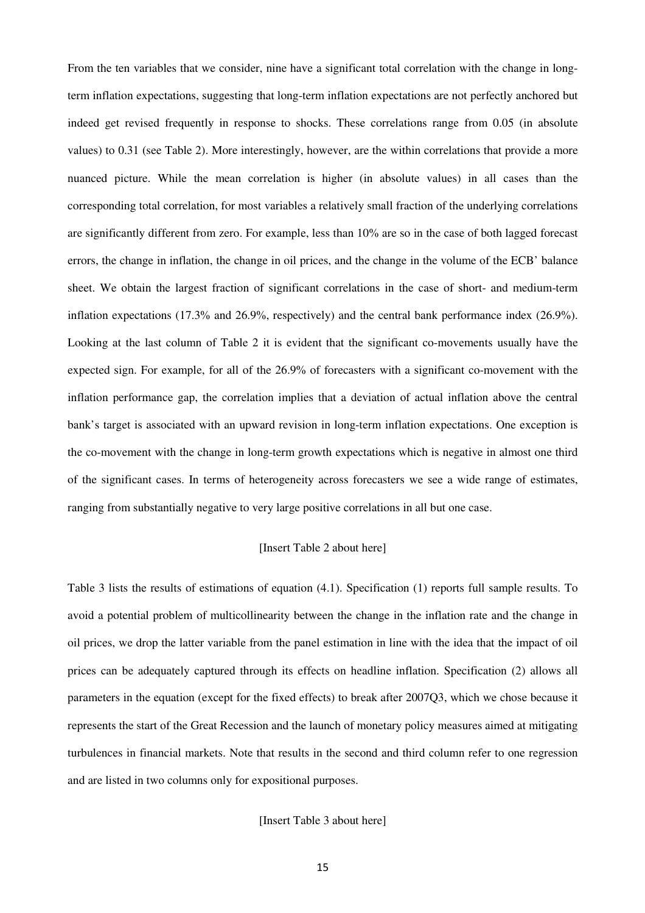From the ten variables that we consider, nine have a significant total correlation with the change in longterm inflation expectations, suggesting that long-term inflation expectations are not perfectly anchored but indeed get revised frequently in response to shocks. These correlations range from 0.05 (in absolute values) to 0.31 (see Table 2). More interestingly, however, are the within correlations that provide a more nuanced picture. While the mean correlation is higher (in absolute values) in all cases than the corresponding total correlation, for most variables a relatively small fraction of the underlying correlations are significantly different from zero. For example, less than 10% are so in the case of both lagged forecast errors, the change in inflation, the change in oil prices, and the change in the volume of the ECB' balance sheet. We obtain the largest fraction of significant correlations in the case of short- and medium-term inflation expectations (17.3% and 26.9%, respectively) and the central bank performance index (26.9%). Looking at the last column of Table 2 it is evident that the significant co-movements usually have the expected sign. For example, for all of the 26.9% of forecasters with a significant co-movement with the inflation performance gap, the correlation implies that a deviation of actual inflation above the central bank's target is associated with an upward revision in long-term inflation expectations. One exception is the co-movement with the change in long-term growth expectations which is negative in almost one third of the significant cases. In terms of heterogeneity across forecasters we see a wide range of estimates, ranging from substantially negative to very large positive correlations in all but one case.

#### [Insert Table 2 about here]

Table 3 lists the results of estimations of equation (4.1). Specification (1) reports full sample results. To avoid a potential problem of multicollinearity between the change in the inflation rate and the change in oil prices, we drop the latter variable from the panel estimation in line with the idea that the impact of oil prices can be adequately captured through its effects on headline inflation. Specification (2) allows all parameters in the equation (except for the fixed effects) to break after 2007Q3, which we chose because it represents the start of the Great Recession and the launch of monetary policy measures aimed at mitigating turbulences in financial markets. Note that results in the second and third column refer to one regression and are listed in two columns only for expositional purposes.

[Insert Table 3 about here]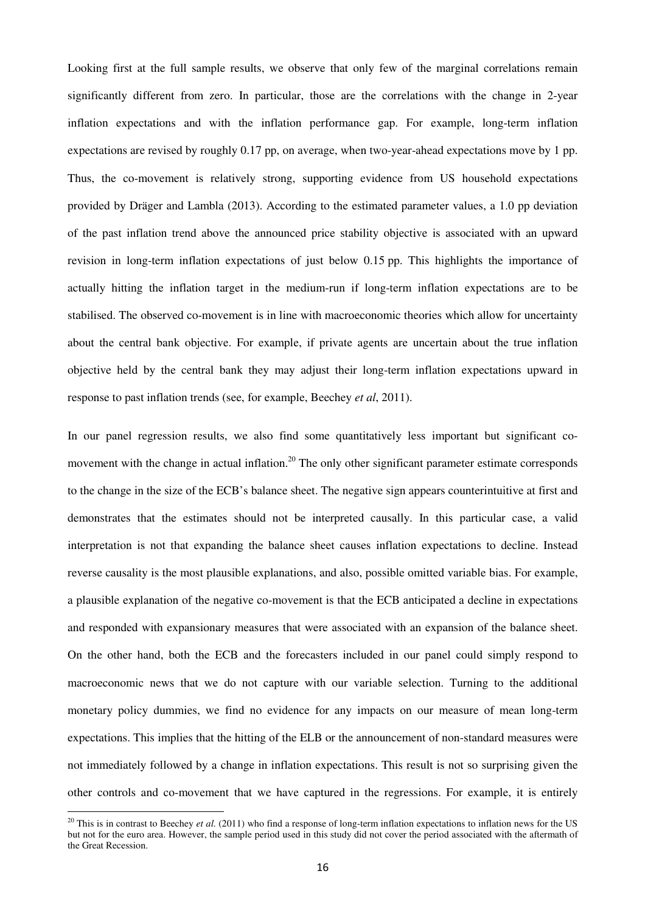Looking first at the full sample results, we observe that only few of the marginal correlations remain significantly different from zero. In particular, those are the correlations with the change in 2-year inflation expectations and with the inflation performance gap. For example, long-term inflation expectations are revised by roughly 0.17 pp, on average, when two-year-ahead expectations move by 1 pp. Thus, the co-movement is relatively strong, supporting evidence from US household expectations provided by Dräger and Lambla (2013). According to the estimated parameter values, a 1.0 pp deviation of the past inflation trend above the announced price stability objective is associated with an upward revision in long-term inflation expectations of just below 0.15 pp. This highlights the importance of actually hitting the inflation target in the medium-run if long-term inflation expectations are to be stabilised. The observed co-movement is in line with macroeconomic theories which allow for uncertainty about the central bank objective. For example, if private agents are uncertain about the true inflation objective held by the central bank they may adjust their long-term inflation expectations upward in response to past inflation trends (see, for example, Beechey *et al*, 2011).

In our panel regression results, we also find some quantitatively less important but significant comovement with the change in actual inflation.<sup>20</sup> The only other significant parameter estimate corresponds to the change in the size of the ECB's balance sheet. The negative sign appears counterintuitive at first and demonstrates that the estimates should not be interpreted causally. In this particular case, a valid interpretation is not that expanding the balance sheet causes inflation expectations to decline. Instead reverse causality is the most plausible explanations, and also, possible omitted variable bias. For example, a plausible explanation of the negative co-movement is that the ECB anticipated a decline in expectations and responded with expansionary measures that were associated with an expansion of the balance sheet. On the other hand, both the ECB and the forecasters included in our panel could simply respond to macroeconomic news that we do not capture with our variable selection. Turning to the additional monetary policy dummies, we find no evidence for any impacts on our measure of mean long-term expectations. This implies that the hitting of the ELB or the announcement of non-standard measures were not immediately followed by a change in inflation expectations. This result is not so surprising given the other controls and co-movement that we have captured in the regressions. For example, it is entirely

 $\overline{a}$ 

<sup>&</sup>lt;sup>20</sup> This is in contrast to Beechey *et al.* (2011) who find a response of long-term inflation expectations to inflation news for the US but not for the euro area. However, the sample period used in this study did not cover the period associated with the aftermath of the Great Recession.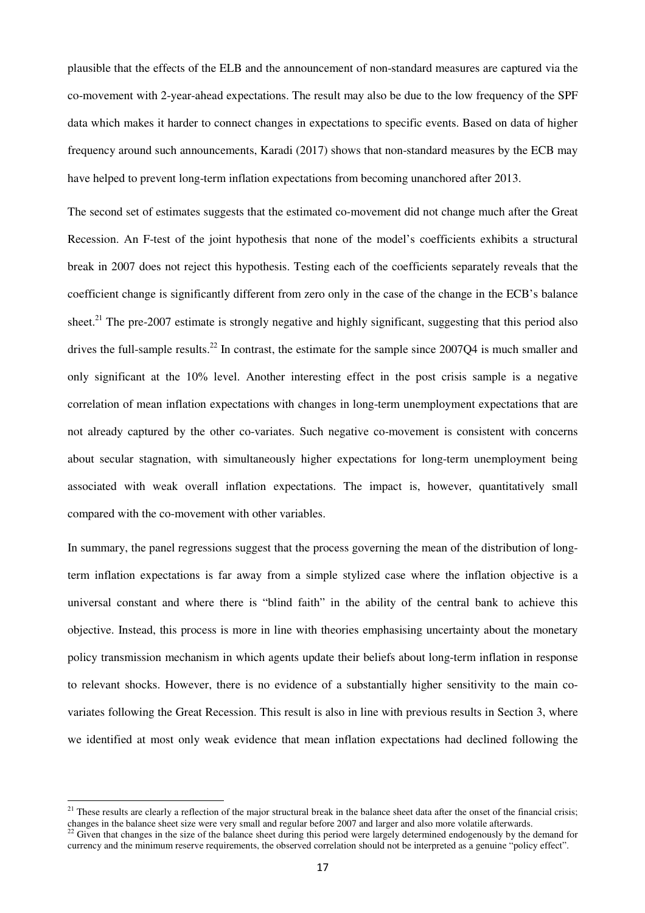plausible that the effects of the ELB and the announcement of non-standard measures are captured via the co-movement with 2-year-ahead expectations. The result may also be due to the low frequency of the SPF data which makes it harder to connect changes in expectations to specific events. Based on data of higher frequency around such announcements, Karadi (2017) shows that non-standard measures by the ECB may have helped to prevent long-term inflation expectations from becoming unanchored after 2013.

The second set of estimates suggests that the estimated co-movement did not change much after the Great Recession. An F-test of the joint hypothesis that none of the model's coefficients exhibits a structural break in 2007 does not reject this hypothesis. Testing each of the coefficients separately reveals that the coefficient change is significantly different from zero only in the case of the change in the ECB's balance sheet.<sup>21</sup> The pre-2007 estimate is strongly negative and highly significant, suggesting that this period also drives the full-sample results.<sup>22</sup> In contrast, the estimate for the sample since 2007Q4 is much smaller and only significant at the 10% level. Another interesting effect in the post crisis sample is a negative correlation of mean inflation expectations with changes in long-term unemployment expectations that are not already captured by the other co-variates. Such negative co-movement is consistent with concerns about secular stagnation, with simultaneously higher expectations for long-term unemployment being associated with weak overall inflation expectations. The impact is, however, quantitatively small compared with the co-movement with other variables.

In summary, the panel regressions suggest that the process governing the mean of the distribution of longterm inflation expectations is far away from a simple stylized case where the inflation objective is a universal constant and where there is "blind faith" in the ability of the central bank to achieve this objective. Instead, this process is more in line with theories emphasising uncertainty about the monetary policy transmission mechanism in which agents update their beliefs about long-term inflation in response to relevant shocks. However, there is no evidence of a substantially higher sensitivity to the main covariates following the Great Recession. This result is also in line with previous results in Section 3, where we identified at most only weak evidence that mean inflation expectations had declined following the

l

 $21$  These results are clearly a reflection of the major structural break in the balance sheet data after the onset of the financial crisis; changes in the balance sheet size were very small and regular before 2007 and larger and also more volatile afterwards.<br><sup>22</sup> Given that changes in the circular 1,<sup>1</sup>

<sup>22</sup> Given that changes in the size of the balance sheet during this period were largely determined endogenously by the demand for currency and the minimum reserve requirements, the observed correlation should not be interpreted as a genuine "policy effect".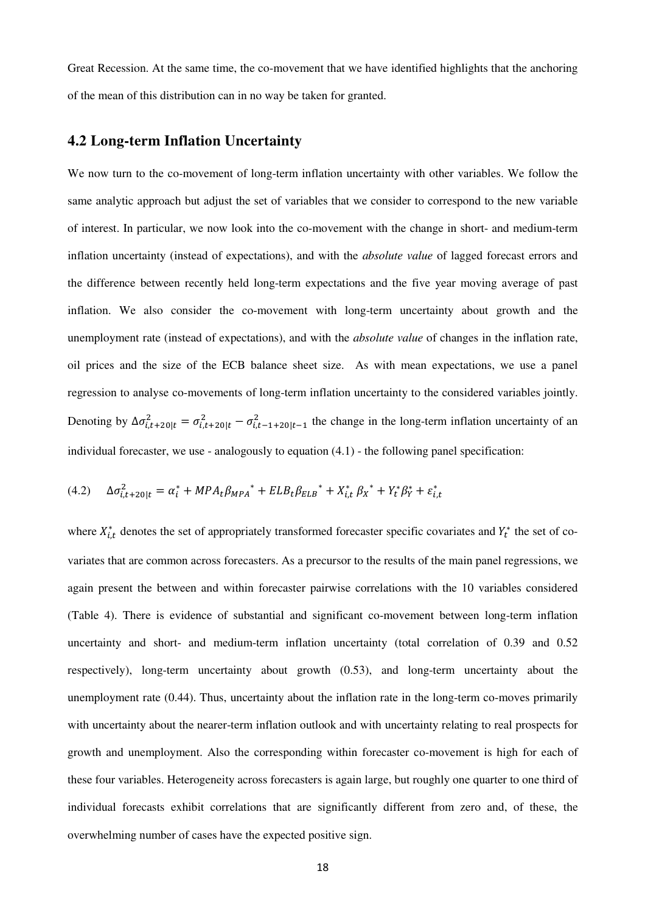Great Recession. At the same time, the co-movement that we have identified highlights that the anchoring of the mean of this distribution can in no way be taken for granted.

## **4.2 Long-term Inflation Uncertainty**

We now turn to the co-movement of long-term inflation uncertainty with other variables. We follow the same analytic approach but adjust the set of variables that we consider to correspond to the new variable of interest. In particular, we now look into the co-movement with the change in short- and medium-term inflation uncertainty (instead of expectations), and with the *absolute value* of lagged forecast errors and the difference between recently held long-term expectations and the five year moving average of past inflation. We also consider the co-movement with long-term uncertainty about growth and the unemployment rate (instead of expectations), and with the *absolute value* of changes in the inflation rate, oil prices and the size of the ECB balance sheet size. As with mean expectations, we use a panel regression to analyse co-movements of long-term inflation uncertainty to the considered variables jointly. Denoting by  $\Delta \sigma_{i,t+20|t}^2 = \sigma_{i,t+20|t}^2 - \sigma_{i,t-1+20|t-1}^2$  the change in the long-term inflation uncertainty of an individual forecaster, we use - analogously to equation  $(4.1)$  - the following panel specification:

$$
(4.2) \quad \Delta \sigma_{i,t+20|t}^2 = \alpha_i^* + MPA_t \beta_{MPA}^* + ELB_t \beta_{ELB}^* + X_{i,t}^* \beta_X^* + Y_t^* \beta_Y^* + \varepsilon_{i,t}^*
$$

where  $X_{i,t}^*$  denotes the set of appropriately transformed forecaster specific covariates and  $Y_t^*$  the set of covariates that are common across forecasters. As a precursor to the results of the main panel regressions, we again present the between and within forecaster pairwise correlations with the 10 variables considered (Table 4). There is evidence of substantial and significant co-movement between long-term inflation uncertainty and short- and medium-term inflation uncertainty (total correlation of 0.39 and 0.52 respectively), long-term uncertainty about growth (0.53), and long-term uncertainty about the unemployment rate (0.44). Thus, uncertainty about the inflation rate in the long-term co-moves primarily with uncertainty about the nearer-term inflation outlook and with uncertainty relating to real prospects for growth and unemployment. Also the corresponding within forecaster co-movement is high for each of these four variables. Heterogeneity across forecasters is again large, but roughly one quarter to one third of individual forecasts exhibit correlations that are significantly different from zero and, of these, the overwhelming number of cases have the expected positive sign.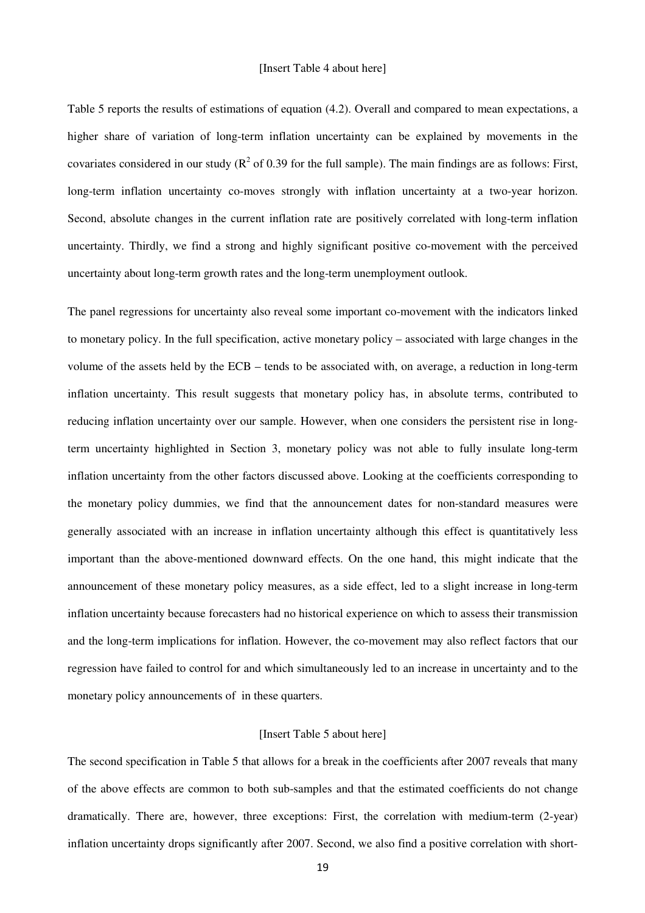Table 5 reports the results of estimations of equation (4.2). Overall and compared to mean expectations, a higher share of variation of long-term inflation uncertainty can be explained by movements in the covariates considered in our study ( $\mathbb{R}^2$  of 0.39 for the full sample). The main findings are as follows: First, long-term inflation uncertainty co-moves strongly with inflation uncertainty at a two-year horizon. Second, absolute changes in the current inflation rate are positively correlated with long-term inflation uncertainty. Thirdly, we find a strong and highly significant positive co-movement with the perceived uncertainty about long-term growth rates and the long-term unemployment outlook.

The panel regressions for uncertainty also reveal some important co-movement with the indicators linked to monetary policy. In the full specification, active monetary policy – associated with large changes in the volume of the assets held by the ECB – tends to be associated with, on average, a reduction in long-term inflation uncertainty. This result suggests that monetary policy has, in absolute terms, contributed to reducing inflation uncertainty over our sample. However, when one considers the persistent rise in longterm uncertainty highlighted in Section 3, monetary policy was not able to fully insulate long-term inflation uncertainty from the other factors discussed above. Looking at the coefficients corresponding to the monetary policy dummies, we find that the announcement dates for non-standard measures were generally associated with an increase in inflation uncertainty although this effect is quantitatively less important than the above-mentioned downward effects. On the one hand, this might indicate that the announcement of these monetary policy measures, as a side effect, led to a slight increase in long-term inflation uncertainty because forecasters had no historical experience on which to assess their transmission and the long-term implications for inflation. However, the co-movement may also reflect factors that our regression have failed to control for and which simultaneously led to an increase in uncertainty and to the monetary policy announcements of in these quarters.

#### [Insert Table 5 about here]

The second specification in Table 5 that allows for a break in the coefficients after 2007 reveals that many of the above effects are common to both sub-samples and that the estimated coefficients do not change dramatically. There are, however, three exceptions: First, the correlation with medium-term (2-year) inflation uncertainty drops significantly after 2007. Second, we also find a positive correlation with short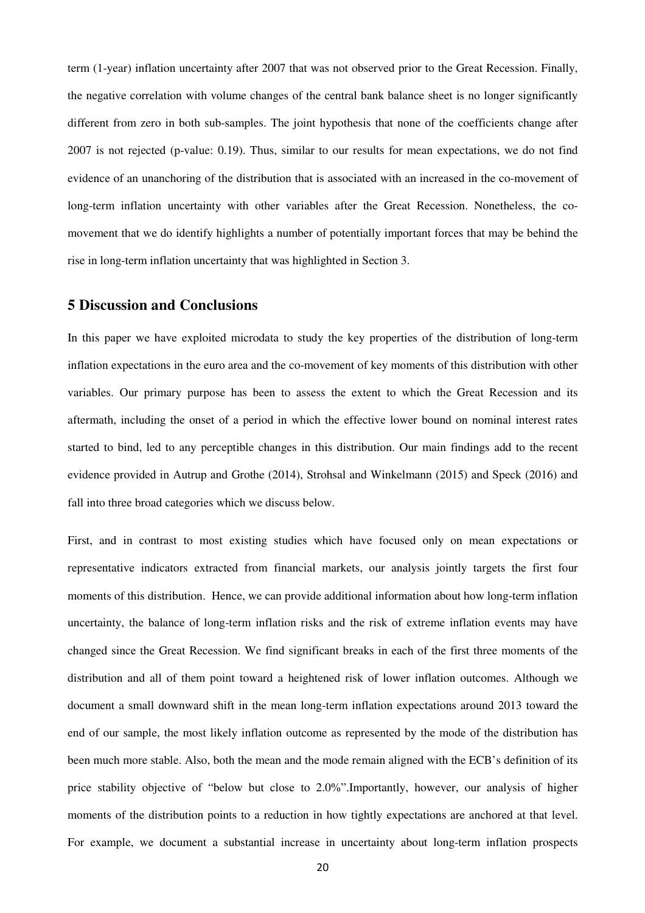term (1-year) inflation uncertainty after 2007 that was not observed prior to the Great Recession. Finally, the negative correlation with volume changes of the central bank balance sheet is no longer significantly different from zero in both sub-samples. The joint hypothesis that none of the coefficients change after 2007 is not rejected (p-value: 0.19). Thus, similar to our results for mean expectations, we do not find evidence of an unanchoring of the distribution that is associated with an increased in the co-movement of long-term inflation uncertainty with other variables after the Great Recession. Nonetheless, the comovement that we do identify highlights a number of potentially important forces that may be behind the rise in long-term inflation uncertainty that was highlighted in Section 3.

## **5 Discussion and Conclusions**

In this paper we have exploited microdata to study the key properties of the distribution of long-term inflation expectations in the euro area and the co-movement of key moments of this distribution with other variables. Our primary purpose has been to assess the extent to which the Great Recession and its aftermath, including the onset of a period in which the effective lower bound on nominal interest rates started to bind, led to any perceptible changes in this distribution. Our main findings add to the recent evidence provided in Autrup and Grothe (2014), Strohsal and Winkelmann (2015) and Speck (2016) and fall into three broad categories which we discuss below.

First, and in contrast to most existing studies which have focused only on mean expectations or representative indicators extracted from financial markets, our analysis jointly targets the first four moments of this distribution. Hence, we can provide additional information about how long-term inflation uncertainty, the balance of long-term inflation risks and the risk of extreme inflation events may have changed since the Great Recession. We find significant breaks in each of the first three moments of the distribution and all of them point toward a heightened risk of lower inflation outcomes. Although we document a small downward shift in the mean long-term inflation expectations around 2013 toward the end of our sample, the most likely inflation outcome as represented by the mode of the distribution has been much more stable. Also, both the mean and the mode remain aligned with the ECB's definition of its price stability objective of "below but close to 2.0%".Importantly, however, our analysis of higher moments of the distribution points to a reduction in how tightly expectations are anchored at that level. For example, we document a substantial increase in uncertainty about long-term inflation prospects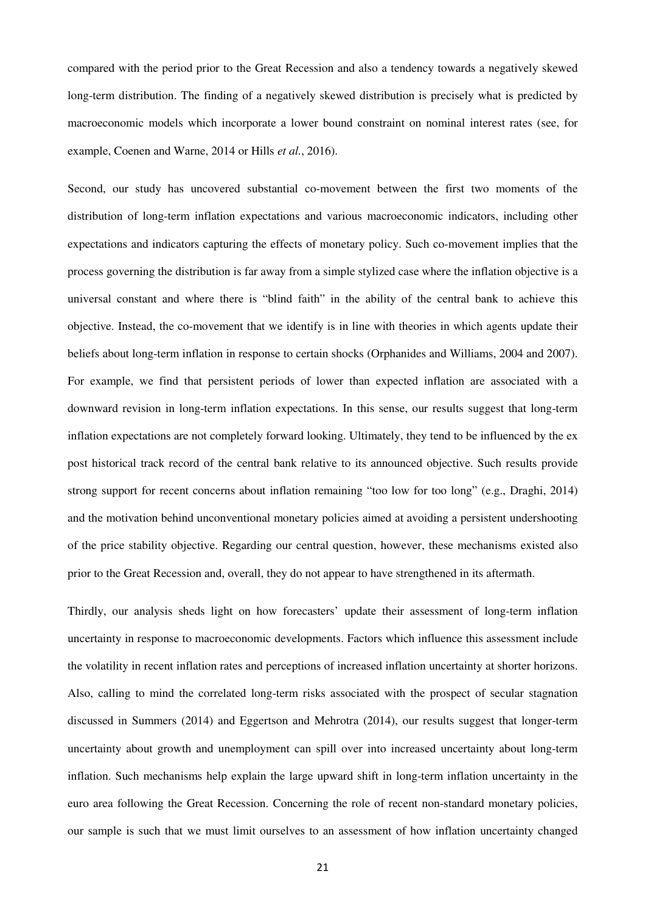compared with the period prior to the Great Recession and also a tendency towards a negatively skewed long-term distribution. The finding of a negatively skewed distribution is precisely what is predicted by macroeconomic models which incorporate a lower bound constraint on nominal interest rates (see, for example, Coenen and Warne, 2014 or Hills *et al.*, 2016).

Second, our study has uncovered substantial co-movement between the first two moments of the distribution of long-term inflation expectations and various macroeconomic indicators, including other expectations and indicators capturing the effects of monetary policy. Such co-movement implies that the process governing the distribution is far away from a simple stylized case where the inflation objective is a universal constant and where there is "blind faith" in the ability of the central bank to achieve this objective. Instead, the co-movement that we identify is in line with theories in which agents update their beliefs about long-term inflation in response to certain shocks (Orphanides and Williams, 2004 and 2007). For example, we find that persistent periods of lower than expected inflation are associated with a downward revision in long-term inflation expectations. In this sense, our results suggest that long-term inflation expectations are not completely forward looking. Ultimately, they tend to be influenced by the ex post historical track record of the central bank relative to its announced objective. Such results provide strong support for recent concerns about inflation remaining "too low for too long" (e.g., Draghi, 2014) and the motivation behind unconventional monetary policies aimed at avoiding a persistent undershooting of the price stability objective. Regarding our central question, however, these mechanisms existed also prior to the Great Recession and, overall, they do not appear to have strengthened in its aftermath.

Thirdly, our analysis sheds light on how forecasters' update their assessment of long-term inflation uncertainty in response to macroeconomic developments. Factors which influence this assessment include the volatility in recent inflation rates and perceptions of increased inflation uncertainty at shorter horizons. Also, calling to mind the correlated long-term risks associated with the prospect of secular stagnation discussed in Summers (2014) and Eggertson and Mehrotra (2014), our results suggest that longer-term uncertainty about growth and unemployment can spill over into increased uncertainty about long-term inflation. Such mechanisms help explain the large upward shift in long-term inflation uncertainty in the euro area following the Great Recession. Concerning the role of recent non-standard monetary policies, our sample is such that we must limit ourselves to an assessment of how inflation uncertainty changed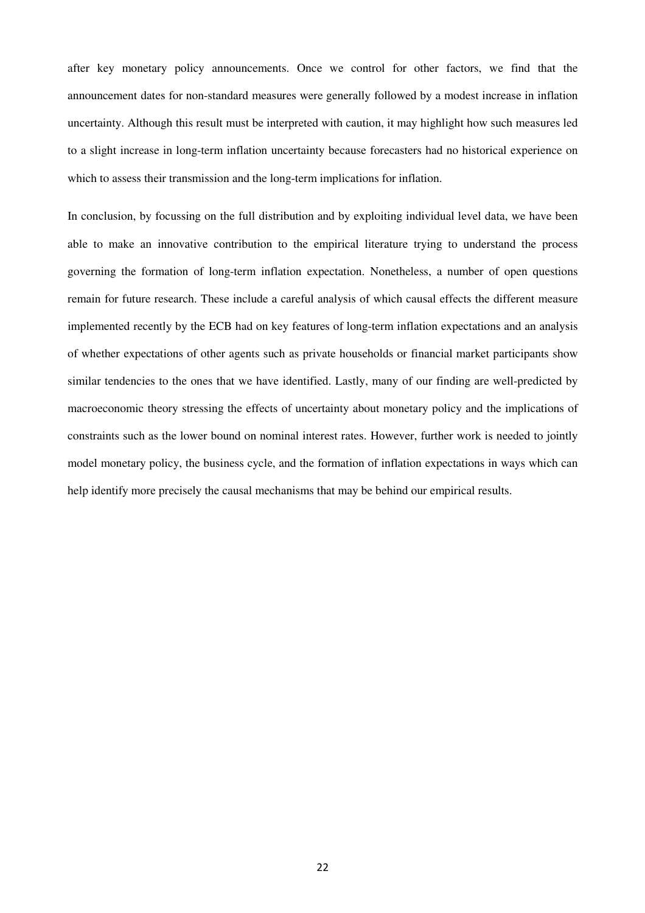after key monetary policy announcements. Once we control for other factors, we find that the announcement dates for non-standard measures were generally followed by a modest increase in inflation uncertainty. Although this result must be interpreted with caution, it may highlight how such measures led to a slight increase in long-term inflation uncertainty because forecasters had no historical experience on which to assess their transmission and the long-term implications for inflation.

In conclusion, by focussing on the full distribution and by exploiting individual level data, we have been able to make an innovative contribution to the empirical literature trying to understand the process governing the formation of long-term inflation expectation. Nonetheless, a number of open questions remain for future research. These include a careful analysis of which causal effects the different measure implemented recently by the ECB had on key features of long-term inflation expectations and an analysis of whether expectations of other agents such as private households or financial market participants show similar tendencies to the ones that we have identified. Lastly, many of our finding are well-predicted by macroeconomic theory stressing the effects of uncertainty about monetary policy and the implications of constraints such as the lower bound on nominal interest rates. However, further work is needed to jointly model monetary policy, the business cycle, and the formation of inflation expectations in ways which can help identify more precisely the causal mechanisms that may be behind our empirical results.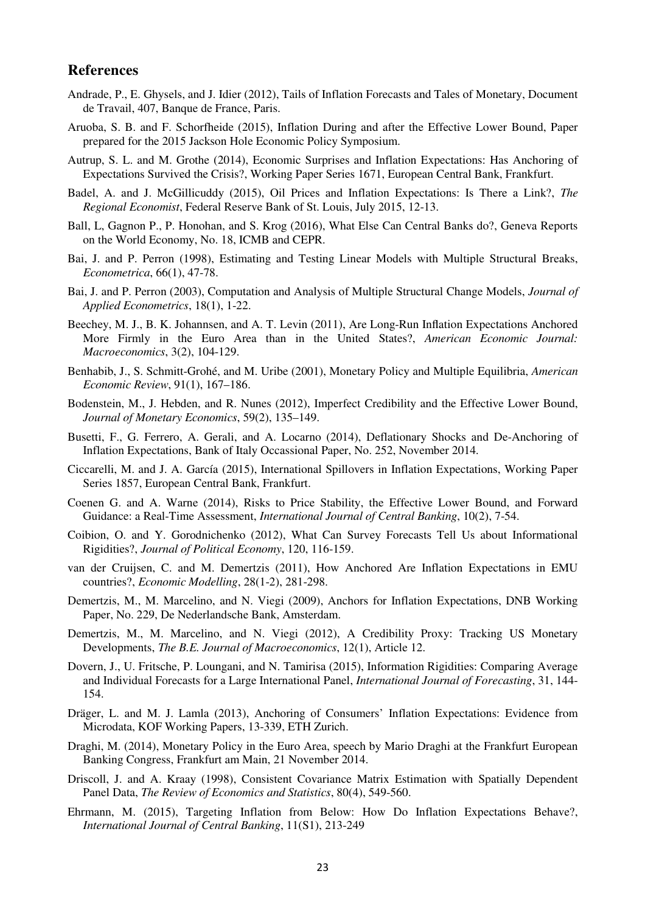#### **References**

- Andrade, P., E. Ghysels, and J. Idier (2012), Tails of Inflation Forecasts and Tales of Monetary, Document de Travail, 407, Banque de France, Paris.
- Aruoba, S. B. and F. Schorfheide (2015), Inflation During and after the Effective Lower Bound, Paper prepared for the 2015 Jackson Hole Economic Policy Symposium.
- Autrup, S. L. and M. Grothe (2014), Economic Surprises and Inflation Expectations: Has Anchoring of Expectations Survived the Crisis?, Working Paper Series 1671, European Central Bank, Frankfurt.
- Badel, A. and J. McGillicuddy (2015), Oil Prices and Inflation Expectations: Is There a Link?, *The Regional Economist*, Federal Reserve Bank of St. Louis, July 2015, 12-13.
- Ball, L, Gagnon P., P. Honohan, and S. Krog (2016), What Else Can Central Banks do?, Geneva Reports on the World Economy, No. 18, ICMB and CEPR.
- Bai, J. and P. Perron (1998), Estimating and Testing Linear Models with Multiple Structural Breaks, *Econometrica*, 66(1), 47-78.
- Bai, J. and P. Perron (2003), Computation and Analysis of Multiple Structural Change Models, *Journal of Applied Econometrics*, 18(1), 1-22.
- Beechey, M. J., B. K. Johannsen, and A. T. Levin (2011), Are Long-Run Inflation Expectations Anchored More Firmly in the Euro Area than in the United States?, *American Economic Journal: Macroeconomics*, 3(2), 104-129.
- Benhabib, J., S. Schmitt-Grohé, and M. Uribe (2001), Monetary Policy and Multiple Equilibria, *American Economic Review*, 91(1), 167–186.
- Bodenstein, M., J. Hebden, and R. Nunes (2012), Imperfect Credibility and the Effective Lower Bound, *Journal of Monetary Economics*, 59(2), 135–149.
- Busetti, F., G. Ferrero, A. Gerali, and A. Locarno (2014), Deflationary Shocks and De-Anchoring of Inflation Expectations, Bank of Italy Occassional Paper, No. 252, November 2014.
- Ciccarelli, M. and J. A. García (2015), International Spillovers in Inflation Expectations, Working Paper Series 1857, European Central Bank, Frankfurt.
- Coenen G. and A. Warne (2014), Risks to Price Stability, the Effective Lower Bound, and Forward Guidance: a Real-Time Assessment, *International Journal of Central Banking*, 10(2), 7-54.
- Coibion, O. and Y. Gorodnichenko (2012), What Can Survey Forecasts Tell Us about Informational Rigidities?, *Journal of Political Economy*, 120, 116-159.
- van der Cruijsen, C. and M. Demertzis (2011), How Anchored Are Inflation Expectations in EMU countries?, *Economic Modelling*, 28(1-2), 281-298.
- Demertzis, M., M. Marcelino, and N. Viegi (2009), Anchors for Inflation Expectations, DNB Working Paper, No. 229, De Nederlandsche Bank, Amsterdam.
- Demertzis, M., M. Marcelino, and N. Viegi (2012), A Credibility Proxy: Tracking US Monetary Developments, *The B.E. Journal of Macroeconomics*, 12(1), Article 12.
- Dovern, J., U. Fritsche, P. Loungani, and N. Tamirisa (2015), Information Rigidities: Comparing Average and Individual Forecasts for a Large International Panel, *International Journal of Forecasting*, 31, 144- 154.
- Dräger, L. and M. J. Lamla (2013), Anchoring of Consumers' Inflation Expectations: Evidence from Microdata, KOF Working Papers, 13-339, ETH Zurich.
- Draghi, M. (2014), Monetary Policy in the Euro Area, speech by Mario Draghi at the Frankfurt European Banking Congress, Frankfurt am Main, 21 November 2014.
- Driscoll, J. and A. Kraay (1998), Consistent Covariance Matrix Estimation with Spatially Dependent Panel Data, *The Review of Economics and Statistics*, 80(4), 549-560.
- Ehrmann, M. (2015), Targeting Inflation from Below: How Do Inflation Expectations Behave?, *International Journal of Central Banking*, 11(S1), 213-249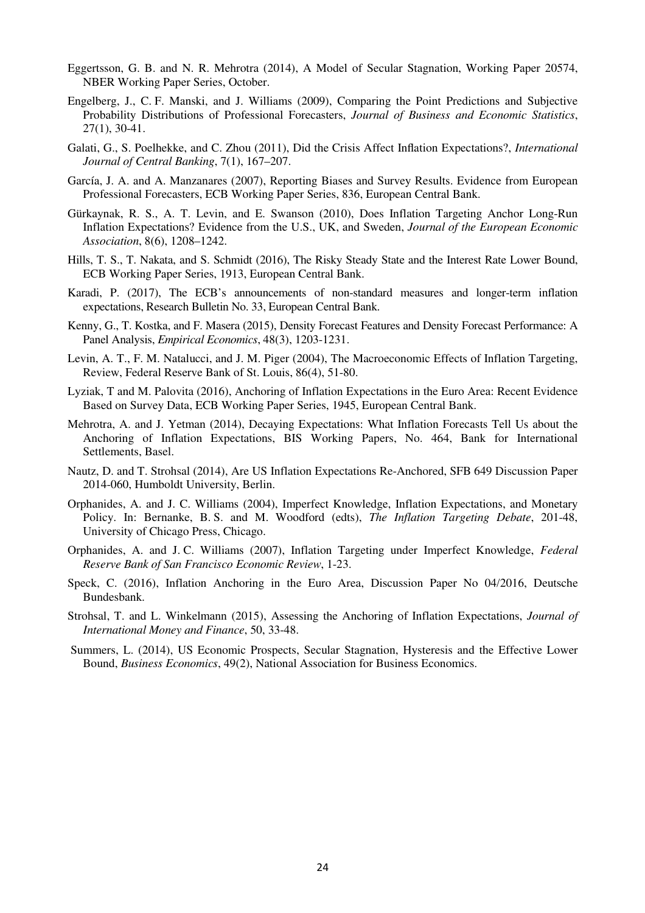- Eggertsson, G. B. and N. R. Mehrotra (2014), A Model of Secular Stagnation, Working Paper 20574, NBER Working Paper Series, October.
- Engelberg, J., C. F. Manski, and J. Williams (2009), Comparing the Point Predictions and Subjective Probability Distributions of Professional Forecasters, *Journal of Business and Economic Statistics*, 27(1), 30-41.
- Galati, G., S. Poelhekke, and C. Zhou (2011), Did the Crisis Affect Inflation Expectations?, *International Journal of Central Banking*, 7(1), 167–207.
- García, J. A. and A. Manzanares (2007), Reporting Biases and Survey Results. Evidence from European Professional Forecasters, ECB Working Paper Series, 836, European Central Bank.
- Gürkaynak, R. S., A. T. Levin, and E. Swanson (2010), Does Inflation Targeting Anchor Long-Run Inflation Expectations? Evidence from the U.S., UK, and Sweden, *Journal of the European Economic Association*, 8(6), 1208–1242.
- Hills, T. S., T. Nakata, and S. Schmidt (2016), The Risky Steady State and the Interest Rate Lower Bound, ECB Working Paper Series, 1913, European Central Bank.
- Karadi, P. (2017), The ECB's announcements of non-standard measures and longer-term inflation expectations, Research Bulletin No. 33, European Central Bank.
- Kenny, G., T. Kostka, and F. Masera (2015), Density Forecast Features and Density Forecast Performance: A Panel Analysis, *Empirical Economics*, 48(3), 1203-1231.
- Levin, A. T., F. M. Natalucci, and J. M. Piger (2004), The Macroeconomic Effects of Inflation Targeting, Review, Federal Reserve Bank of St. Louis, 86(4), 51-80.
- Lyziak, T and M. Palovita (2016), Anchoring of Inflation Expectations in the Euro Area: Recent Evidence Based on Survey Data, ECB Working Paper Series, 1945, European Central Bank.
- Mehrotra, A. and J. Yetman (2014), Decaying Expectations: What Inflation Forecasts Tell Us about the Anchoring of Inflation Expectations, BIS Working Papers, No. 464, Bank for International Settlements, Basel.
- Nautz, D. and T. Strohsal (2014), Are US Inflation Expectations Re-Anchored, SFB 649 Discussion Paper 2014-060, Humboldt University, Berlin.
- Orphanides, A. and J. C. Williams (2004), Imperfect Knowledge, Inflation Expectations, and Monetary Policy. In: Bernanke, B. S. and M. Woodford (edts), *The Inflation Targeting Debate*, 201-48, University of Chicago Press, Chicago.
- Orphanides, A. and J. C. Williams (2007), Inflation Targeting under Imperfect Knowledge, *Federal Reserve Bank of San Francisco Economic Review*, 1-23.
- Speck, C. (2016), Inflation Anchoring in the Euro Area, Discussion Paper No 04/2016, Deutsche Bundesbank.
- Strohsal, T. and L. Winkelmann (2015), Assessing the Anchoring of Inflation Expectations, *Journal of International Money and Finance*, 50, 33-48.
- Summers, L. (2014), US Economic Prospects, Secular Stagnation, Hysteresis and the Effective Lower Bound, *Business Economics*, 49(2), National Association for Business Economics.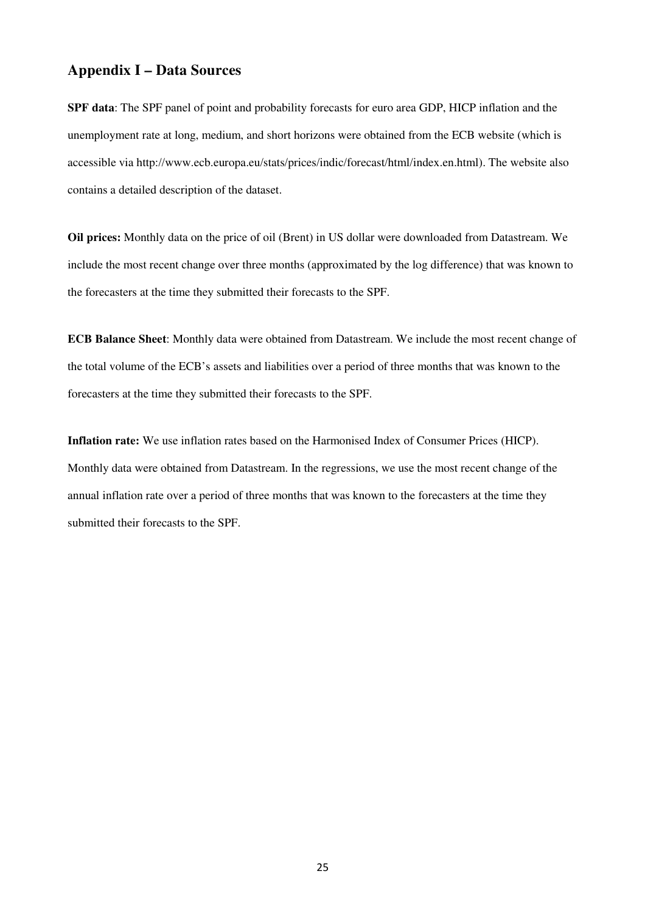## **Appendix I – Data Sources**

**SPF data**: The SPF panel of point and probability forecasts for euro area GDP, HICP inflation and the unemployment rate at long, medium, and short horizons were obtained from the ECB website (which is accessible via http://www.ecb.europa.eu/stats/prices/indic/forecast/html/index.en.html). The website also contains a detailed description of the dataset.

**Oil prices:** Monthly data on the price of oil (Brent) in US dollar were downloaded from Datastream. We include the most recent change over three months (approximated by the log difference) that was known to the forecasters at the time they submitted their forecasts to the SPF.

**ECB Balance Sheet**: Monthly data were obtained from Datastream. We include the most recent change of the total volume of the ECB's assets and liabilities over a period of three months that was known to the forecasters at the time they submitted their forecasts to the SPF.

**Inflation rate:** We use inflation rates based on the Harmonised Index of Consumer Prices (HICP). Monthly data were obtained from Datastream. In the regressions, we use the most recent change of the annual inflation rate over a period of three months that was known to the forecasters at the time they submitted their forecasts to the SPF.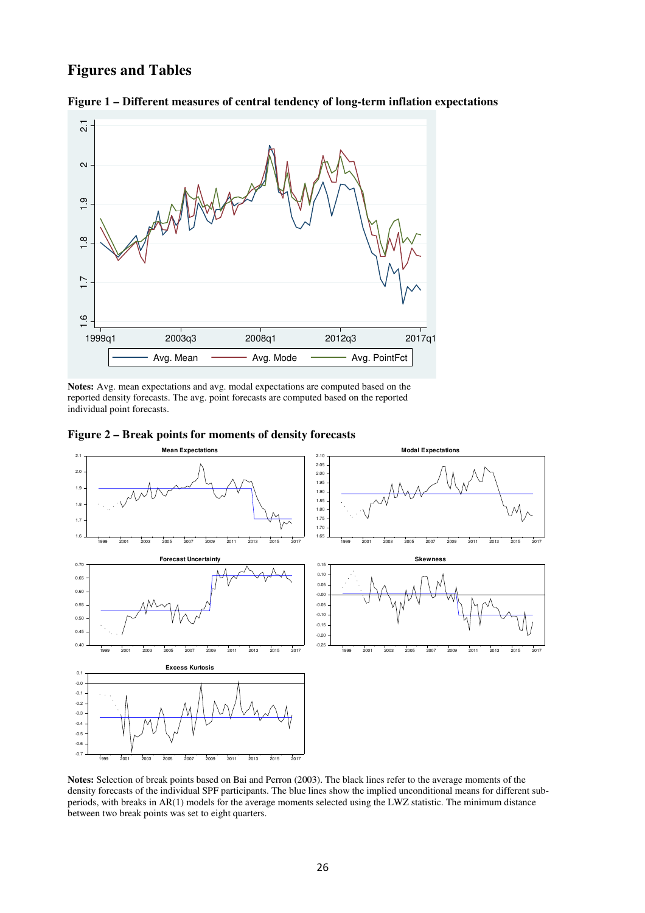## **Figures and Tables**





**Notes:** Avg. mean expectations and avg. modal expectations are computed based on the reported density forecasts. The avg. point forecasts are computed based on the reported individual point forecasts.





**Notes:** Selection of break points based on Bai and Perron (2003). The black lines refer to the average moments of the density forecasts of the individual SPF participants. The blue lines show the implied unconditional means for different subperiods, with breaks in AR(1) models for the average moments selected using the LWZ statistic. The minimum distance between two break points was set to eight quarters.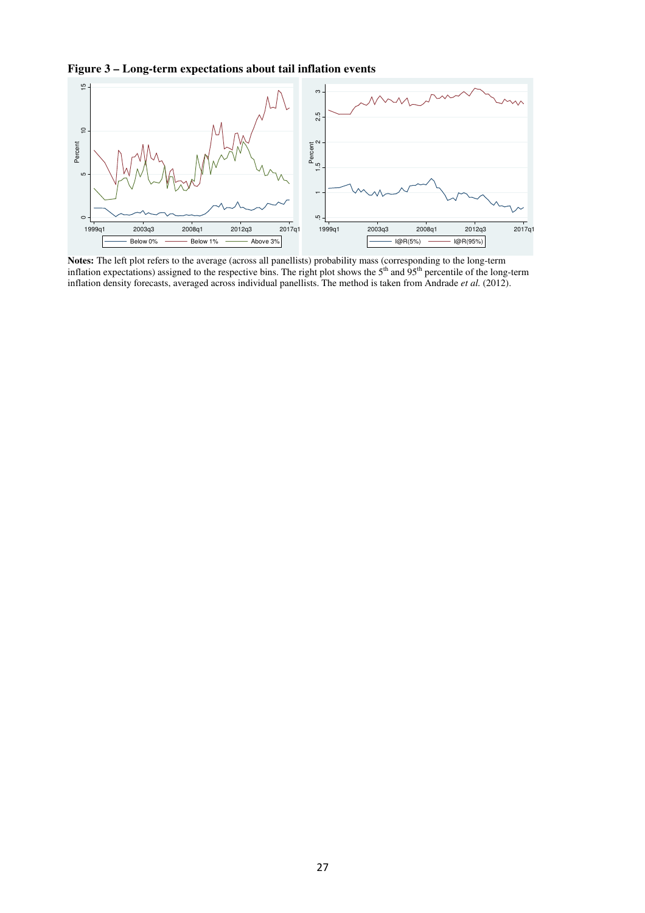**Figure 3 – Long-term expectations about tail inflation events** 



**Notes:** The left plot refers to the average (across all panellists) probability mass (corresponding to the long-term inflation expectations) assigned to the respective bins. The right plot shows the  $5<sup>th</sup>$  and  $95<sup>th</sup>$  percentile of the long-term inflation density forecasts, averaged across individual panellists. The method is taken from Andrade *et al.* (2012).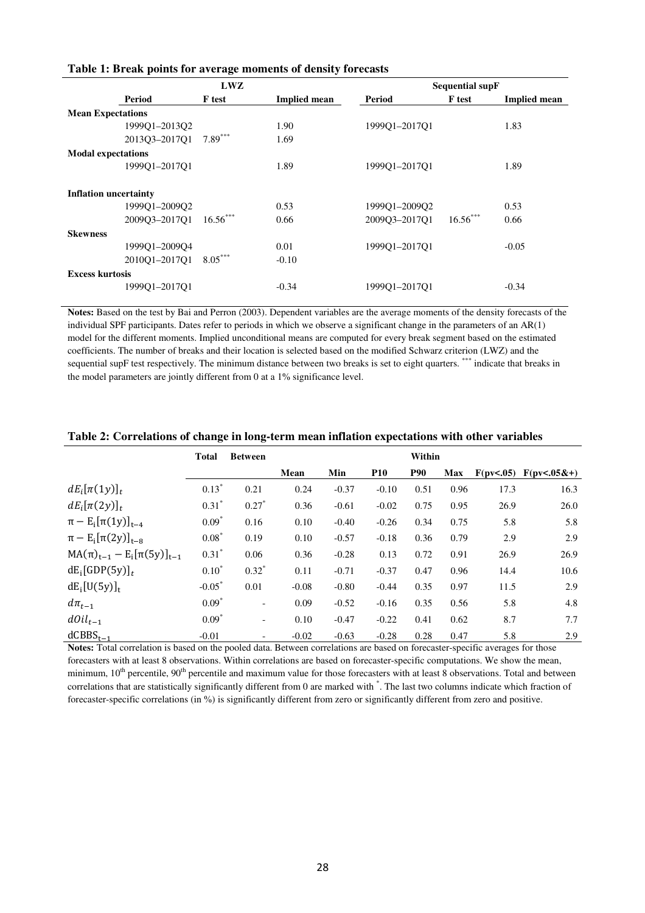|                              | LWZ           |                     |               | <b>Sequential supF</b> |                     |
|------------------------------|---------------|---------------------|---------------|------------------------|---------------------|
| Period                       | <b>F</b> test | <b>Implied mean</b> | Period        | <b>F</b> test          | <b>Implied mean</b> |
| <b>Mean Expectations</b>     |               |                     |               |                        |                     |
| 1999Q1-2013Q2                |               | 1.90                | 199901-201701 |                        | 1.83                |
| 2013Q3-2017Q1                | $7.89***$     | 1.69                |               |                        |                     |
| <b>Modal expectations</b>    |               |                     |               |                        |                     |
| 199901-201701                |               | 1.89                | 199901-201701 |                        | 1.89                |
| <b>Inflation uncertainty</b> |               |                     |               |                        |                     |
| 1999Q1-2009Q2                |               | 0.53                | 1999Q1-2009Q2 |                        | 0.53                |
| 2009O3-2017O1                | $16.56***$    | 0.66                | 2009Q3-2017Q1 | $16.56***$             | 0.66                |
| <b>Skewness</b>              |               |                     |               |                        |                     |
| 1999Q1-2009Q4                |               | 0.01                | 199901-201701 |                        | $-0.05$             |
| 2010Q1-2017Q1                | $8.05***$     | $-0.10$             |               |                        |                     |
| <b>Excess kurtosis</b>       |               |                     |               |                        |                     |
| 199901-201701                |               | $-0.34$             | 199901-201701 |                        | $-0.34$             |

#### **Table 1: Break points for average moments of density forecasts**

**Notes:** Based on the test by Bai and Perron (2003). Dependent variables are the average moments of the density forecasts of the individual SPF participants. Dates refer to periods in which we observe a significant change in the parameters of an AR(1) model for the different moments. Implied unconditional means are computed for every break segment based on the estimated coefficients. The number of breaks and their location is selected based on the modified Schwarz criterion (LWZ) and the sequential supF test respectively. The minimum distance between two breaks is set to eight quarters. \*\*\* indicate that breaks in the model parameters are jointly different from 0 at a 1% significance level.

|                                      | <b>Total</b> | <b>Between</b>           |         |         |            | Within     |            |           |                  |
|--------------------------------------|--------------|--------------------------|---------|---------|------------|------------|------------|-----------|------------------|
|                                      |              |                          | Mean    | Min     | <b>P10</b> | <b>P90</b> | <b>Max</b> | F(pv<.05) | $F(pv < .05&+ )$ |
| $dE_i[\pi(1y)]_t$                    | $0.13*$      | 0.21                     | 0.24    | $-0.37$ | $-0.10$    | 0.51       | 0.96       | 17.3      | 16.3             |
| $dE_i[\pi(2y)]_t$                    | $0.31*$      | $0.27*$                  | 0.36    | $-0.61$ | $-0.02$    | 0.75       | 0.95       | 26.9      | 26.0             |
| $\pi - E_i[\pi(1y)]_{t-4}$           | $0.09*$      | 0.16                     | 0.10    | $-0.40$ | $-0.26$    | 0.34       | 0.75       | 5.8       | 5.8              |
| $\pi - E_i[\pi(2y)]_{t=8}$           | $0.08*$      | 0.19                     | 0.10    | $-0.57$ | $-0.18$    | 0.36       | 0.79       | 2.9       | 2.9              |
| $MA(\pi)_{t-1} - E_i[\pi(5y)]_{t-1}$ | $0.31*$      | 0.06                     | 0.36    | $-0.28$ | 0.13       | 0.72       | 0.91       | 26.9      | 26.9             |
| $dE_i[GDP(5y)]_t$                    | $0.10*$      | $0.32*$                  | 0.11    | $-0.71$ | $-0.37$    | 0.47       | 0.96       | 14.4      | 10.6             |
| $dE_i[U(5y)]_t$                      | $-0.05*$     | 0.01                     | $-0.08$ | $-0.80$ | $-0.44$    | 0.35       | 0.97       | 11.5      | 2.9              |
| $d\pi_{t-1}$                         | $0.09*$      | $\overline{\phantom{a}}$ | 0.09    | $-0.52$ | $-0.16$    | 0.35       | 0.56       | 5.8       | 4.8              |
| $dOil_{t-1}$                         | $0.09*$      | $\overline{\phantom{0}}$ | 0.10    | $-0.47$ | $-0.22$    | 0.41       | 0.62       | 8.7       | 7.7              |
| $dCBBS_{t-1}$                        | $-0.01$      | $\overline{\phantom{a}}$ | $-0.02$ | $-0.63$ | $-0.28$    | 0.28       | 0.47       | 5.8       | 2.9              |

#### **Table 2: Correlations of change in long-term mean inflation expectations with other variables**

**Notes:** Total correlation is based on the pooled data. Between correlations are based on forecaster-specific averages for those forecasters with at least 8 observations. Within correlations are based on forecaster-specific computations. We show the mean, minimum,  $10^{th}$  percentile,  $90^{th}$  percentile and maximum value for those forecasters with at least 8 observations. Total and between correlations that are statistically significantly different from 0 are marked with \* . The last two columns indicate which fraction of forecaster-specific correlations (in %) is significantly different from zero or significantly different from zero and positive.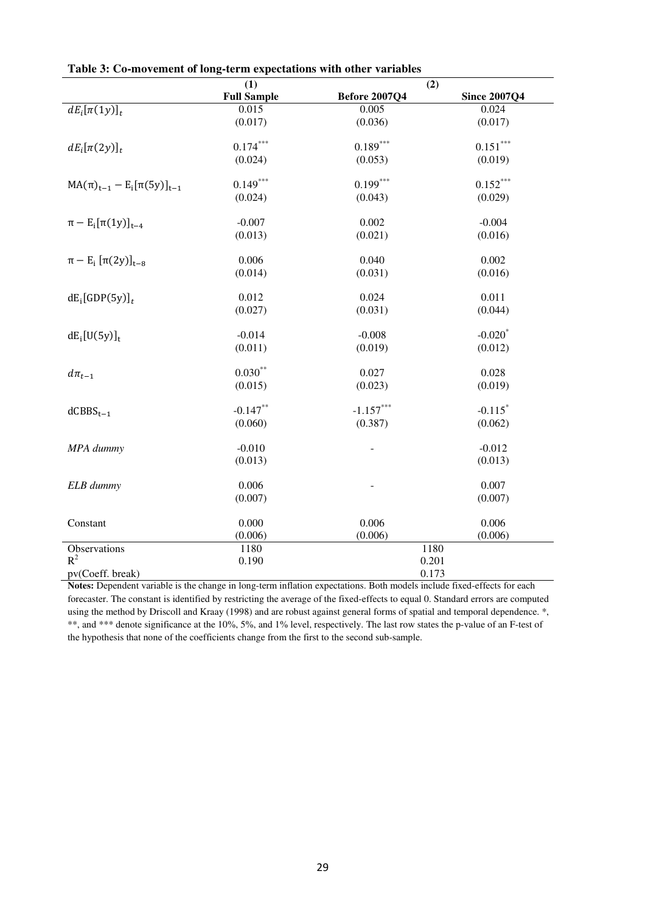|                                          | (1)<br>(2)         |                      |                       |  |  |
|------------------------------------------|--------------------|----------------------|-----------------------|--|--|
|                                          | <b>Full Sample</b> | <b>Before 2007Q4</b> | <b>Since 2007Q4</b>   |  |  |
| $dE_i[\pi(1y)]_t$                        | 0.015              | 0.005                | 0.024                 |  |  |
|                                          | (0.017)            | (0.036)              | (0.017)               |  |  |
| $dE_i[\pi(2y)]_t$                        | $0.174***$         | $0.189***$           | $0.151***$            |  |  |
|                                          | (0.024)            | (0.053)              | (0.019)               |  |  |
| $MA(\pi)_{t-1} - E_i[\pi(5y)]_{t-1}$     | $0.149***$         | $0.199***$           | $0.152***$            |  |  |
|                                          | (0.024)            | (0.043)              | (0.029)               |  |  |
| $\pi - E_i[\pi(1y)]_{t-4}$               | $-0.007$           | 0.002                | $-0.004$              |  |  |
|                                          | (0.013)            | (0.021)              | (0.016)               |  |  |
| $\pi - E_i \left[ \pi(2y) \right]_{t=8}$ | 0.006              | 0.040                | 0.002                 |  |  |
|                                          | (0.014)            | (0.031)              | (0.016)               |  |  |
| $dE_i[GDP(5y)]_t$                        | 0.012              | 0.024                | 0.011                 |  |  |
|                                          | (0.027)            | (0.031)              | (0.044)               |  |  |
| $dE_i[U(5y)]_t$                          | $-0.014$           | $-0.008$             | $-0.020$ <sup>*</sup> |  |  |
|                                          | (0.011)            | (0.019)              | (0.012)               |  |  |
| $d\pi_{t-1}$                             | $0.030***$         | 0.027                | 0.028                 |  |  |
|                                          | (0.015)            | (0.023)              | (0.019)               |  |  |
| $d$ CBBS <sub>t-1</sub>                  | $-0.147**$         | $-1.157***$          | $-0.115$ <sup>*</sup> |  |  |
|                                          | (0.060)            | (0.387)              | (0.062)               |  |  |
| MPA dummy                                | $-0.010$           |                      | $-0.012$              |  |  |
|                                          | (0.013)            |                      | (0.013)               |  |  |
| ELB dummy                                | 0.006              |                      | 0.007                 |  |  |
|                                          | (0.007)            |                      | (0.007)               |  |  |
| Constant                                 | 0.000              | 0.006                | 0.006                 |  |  |
|                                          | (0.006)            | (0.006)              | (0.006)               |  |  |
| Observations                             | 1180               | 1180                 |                       |  |  |
| $R^2$                                    | 0.190              | 0.201                |                       |  |  |
| pv(Coeff. break)                         |                    | 0.173                |                       |  |  |

**Table 3: Co-movement of long-term expectations with other variables** 

**Notes:** Dependent variable is the change in long-term inflation expectations. Both models include fixed-effects for each forecaster. The constant is identified by restricting the average of the fixed-effects to equal 0. Standard errors are computed using the method by Driscoll and Kraay (1998) and are robust against general forms of spatial and temporal dependence.<sup>\*</sup>, \*\*, and \*\*\* denote significance at the 10%, 5%, and 1% level, respectively. The last row states the p-value of an F-test of the hypothesis that none of the coefficients change from the first to the second sub-sample.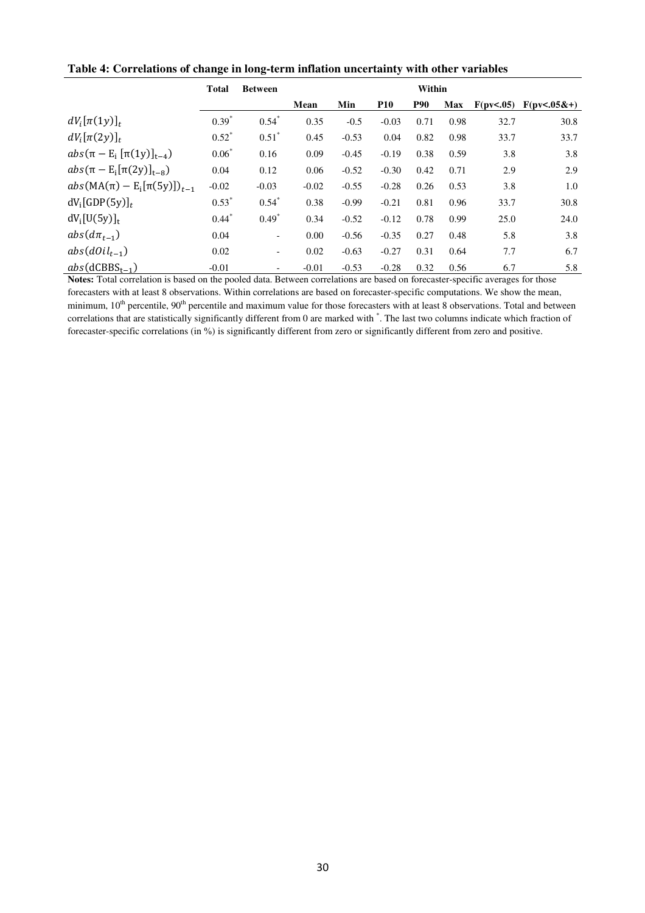|                                                                | <b>Total</b> | <b>Between</b>           | Within  |         |            |            |            |                       |                  |
|----------------------------------------------------------------|--------------|--------------------------|---------|---------|------------|------------|------------|-----------------------|------------------|
|                                                                |              |                          | Mean    | Min     | <b>P10</b> | <b>P90</b> | <b>Max</b> | $F(\text{pv} < 0.05)$ | $F(pv < .05&+ )$ |
| $dV_i[\pi(1y)]_t$                                              | $0.39*$      | $0.54*$                  | 0.35    | $-0.5$  | $-0.03$    | 0.71       | 0.98       | 32.7                  | 30.8             |
| $dV_i[\pi(2y)]_t$                                              | $0.52^*$     | $0.51*$                  | 0.45    | $-0.53$ | 0.04       | 0.82       | 0.98       | 33.7                  | 33.7             |
| abs $(\pi - E_i \left[ \pi(1y) \right]_{t-4})$                 | $0.06*$      | 0.16                     | 0.09    | $-0.45$ | $-0.19$    | 0.38       | 0.59       | 3.8                   | 3.8              |
| abs $(\pi - E_i[\pi(2y)]_{t=8})$                               | 0.04         | 0.12                     | 0.06    | $-0.52$ | $-0.30$    | 0.42       | 0.71       | 2.9                   | 2.9              |
| abs(MA( $\pi$ ) – E <sub>i</sub> [ $\pi$ (5y)]) <sub>t-1</sub> | $-0.02$      | $-0.03$                  | $-0.02$ | $-0.55$ | $-0.28$    | 0.26       | 0.53       | 3.8                   | 1.0              |
| $dV_i[GDP(5y)]_t$                                              | $0.53*$      | $0.54*$                  | 0.38    | $-0.99$ | $-0.21$    | 0.81       | 0.96       | 33.7                  | 30.8             |
| $dV_i[U(5y)]_t$                                                | $0.44*$      | $0.49*$                  | 0.34    | $-0.52$ | $-0.12$    | 0.78       | 0.99       | 25.0                  | 24.0             |
| $abs(d\pi_{t-1})$                                              | 0.04         | $\blacksquare$           | 0.00    | $-0.56$ | $-0.35$    | 0.27       | 0.48       | 5.8                   | 3.8              |
| $abs(dOil_{t-1})$                                              | 0.02         | $\overline{\phantom{a}}$ | 0.02    | $-0.63$ | $-0.27$    | 0.31       | 0.64       | 7.7                   | 6.7              |
| $abs(dCBBS_{t-1})$                                             | $-0.01$      | -                        | $-0.01$ | $-0.53$ | $-0.28$    | 0.32       | 0.56       | 6.7                   | 5.8              |

**Table 4: Correlations of change in long-term inflation uncertainty with other variables** 

**Notes:** Total correlation is based on the pooled data. Between correlations are based on forecaster-specific averages for those forecasters with at least 8 observations. Within correlations are based on forecaster-specific computations. We show the mean, minimum, 10<sup>th</sup> percentile, 90<sup>th</sup> percentile and maximum value for those forecasters with at least 8 observations. Total and between correlations that are statistically significantly different from 0 are marked with \* . The last two columns indicate which fraction of forecaster-specific correlations (in %) is significantly different from zero or significantly different from zero and positive.